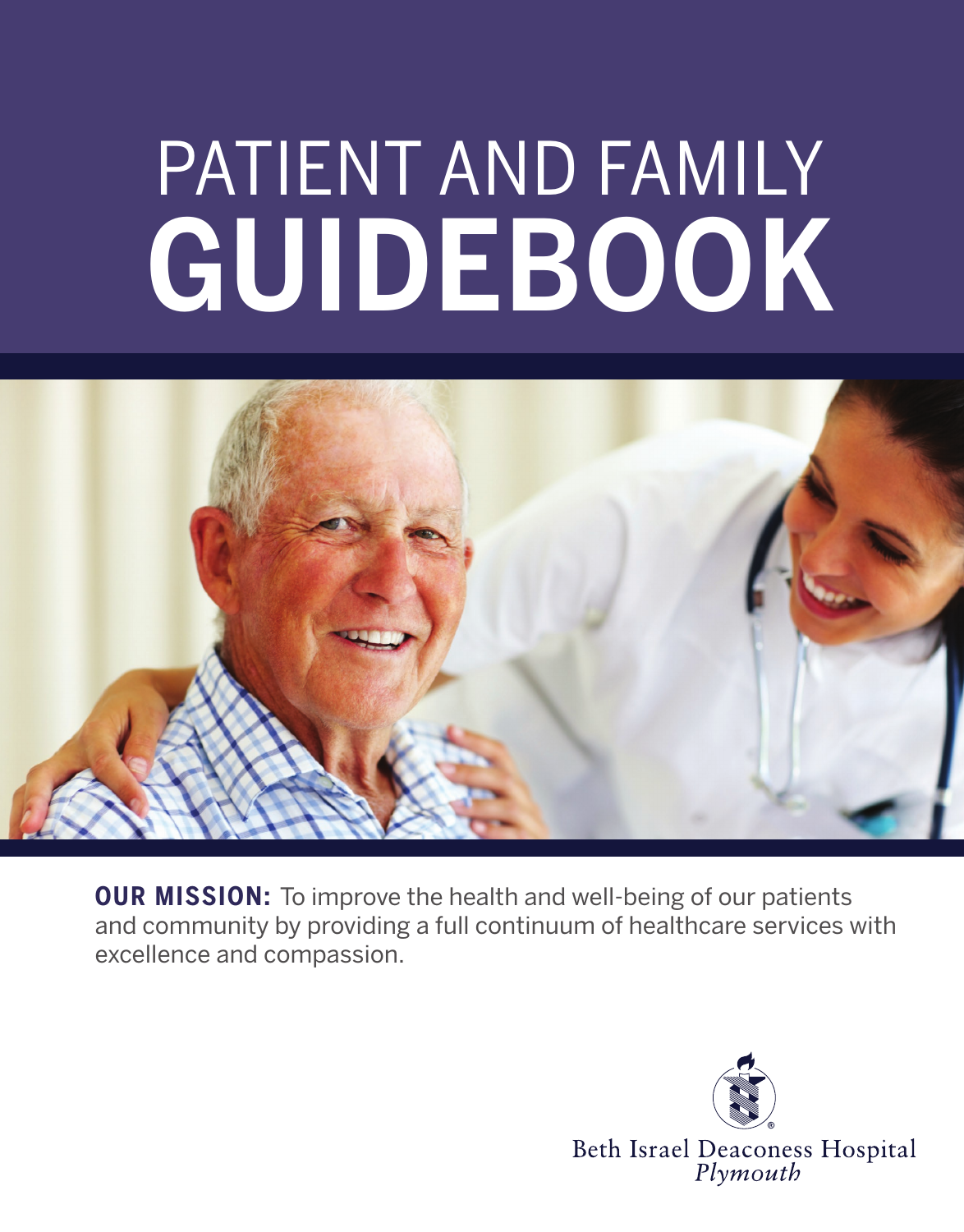# patient and family guidebook



**OUR MISSION:** To improve the health and well-being of our patients and community by providing a full continuum of healthcare services with excellence and compassion.

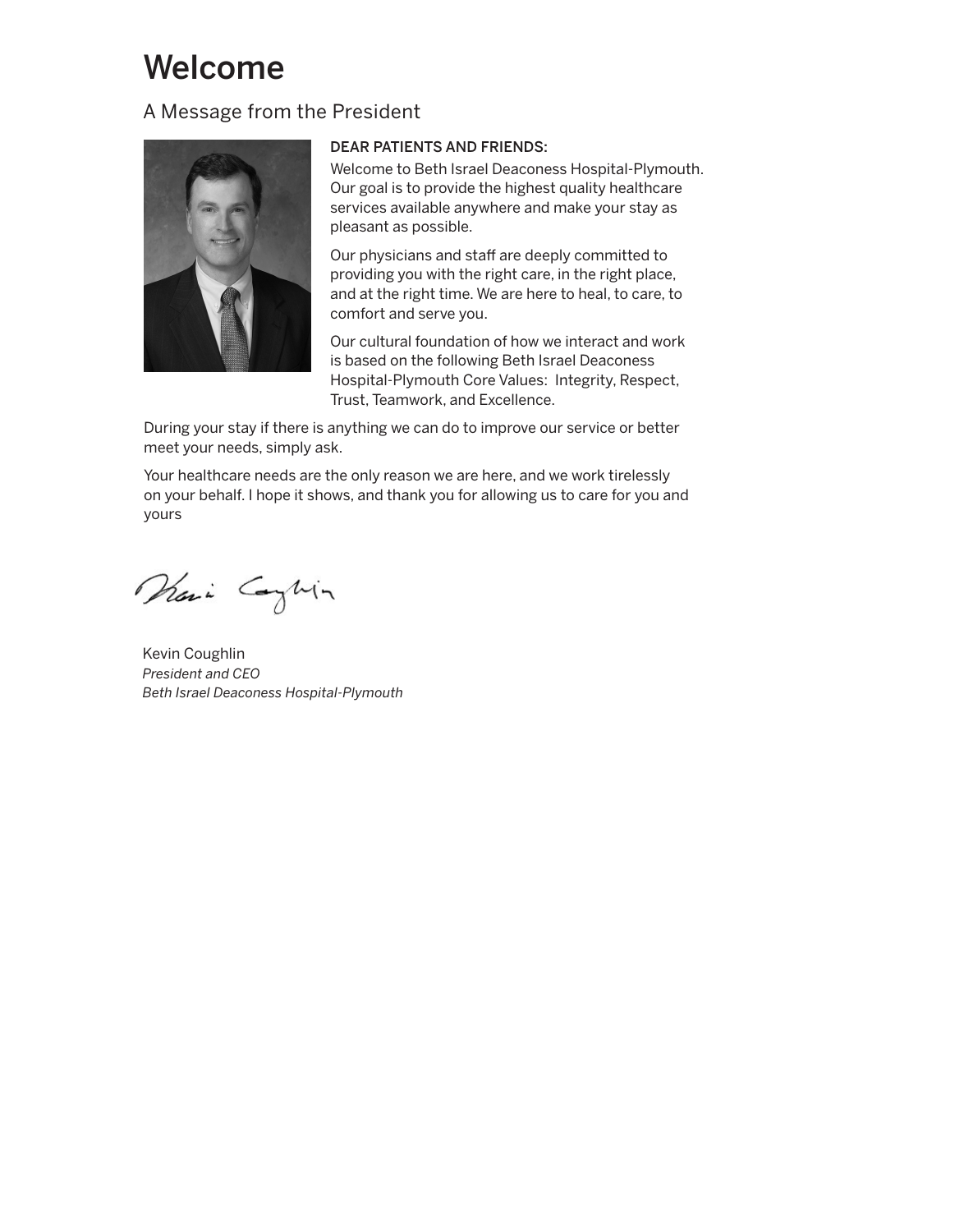# Welcome

# A Message from the President



#### DEAR PATIENTS AND FRIENDS:

Welcome to Beth Israel Deaconess Hospital-Plymouth. Our goal is to provide the highest quality healthcare services available anywhere and make your stay as pleasant as possible.

Our physicians and staff are deeply committed to providing you with the right care, in the right place, and at the right time. We are here to heal, to care, to comfort and serve you.

Our cultural foundation of how we interact and work is based on the following Beth Israel Deaconess Hospital-Plymouth Core Values: Integrity, Respect, Trust, Teamwork, and Excellence.

During your stay if there is anything we can do to improve our service or better meet your needs, simply ask.

Your healthcare needs are the only reason we are here, and we work tirelessly on your behalf. I hope it shows, and thank you for allowing us to care for you and yours

Prai Caghin

Kevin Coughlin *President and CEO Beth Israel Deaconess Hospital-Plymouth*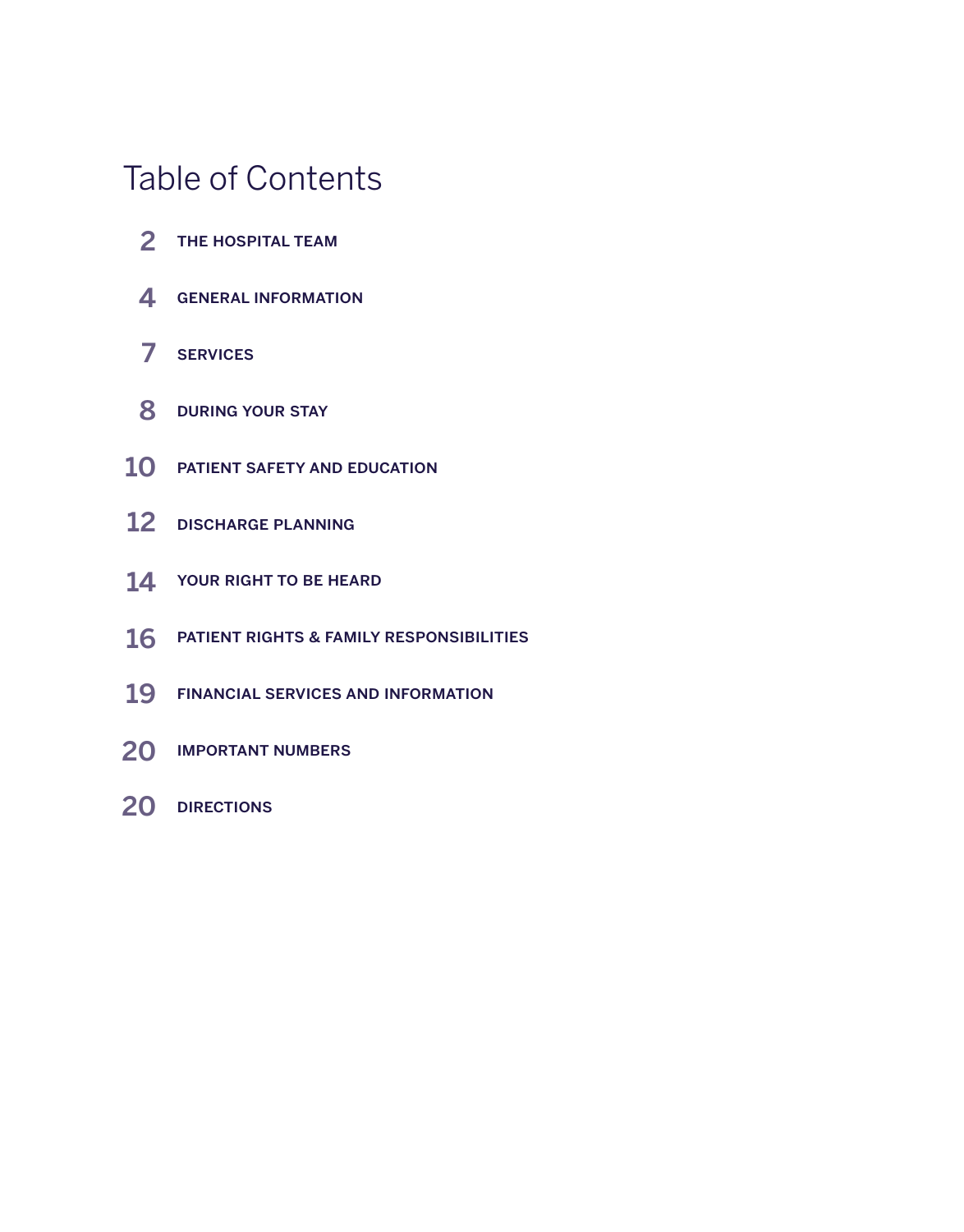# Table of Contents

- 2 THE HOSPITAL TEAM
- 4 GENERAL INFORMATION
- services 7
- 8 DURING YOUR STAY
- 10 PATIENT SAFETY AND EDUCATION
- 12 DISCHARGE PLANNING
- 14 YOUR RIGHT TO BE HEARD
- $16$  Patient rights & family responsibilities
- 19 FINANCIAL SERVICES AND INFORMATION
- 20 IMPORTANT NUMBERS
- 20 DIRECTIONS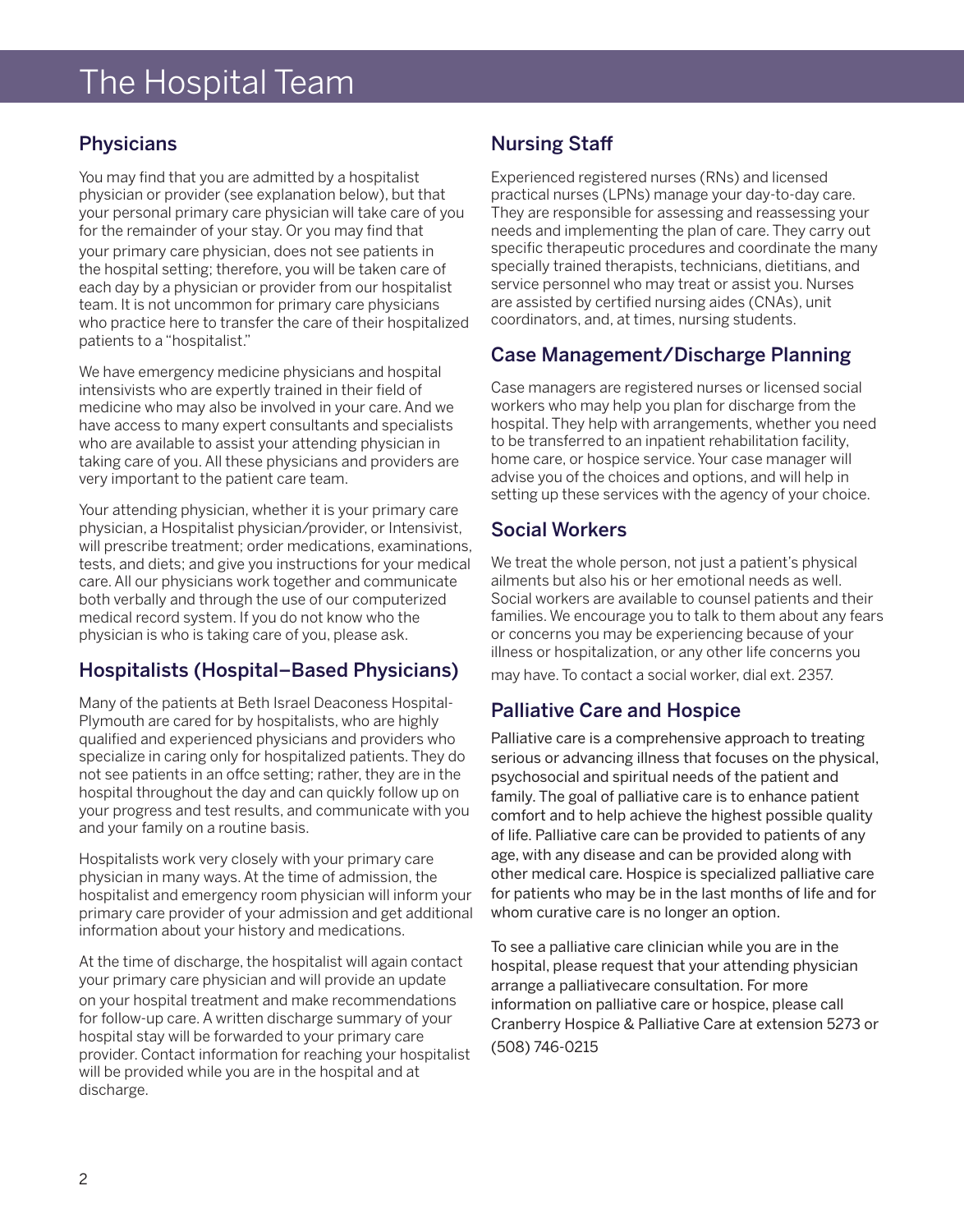# The Hospital Team

# **Physicians**

You may find that you are admitted by a hospitalist physician or provider (see explanation below), but that your personal primary care physician will take care of you for the remainder of your stay. Or you may find that your primary care physician, does not see patients in the hospital setting; therefore, you will be taken care of each day by a physician or provider from our hospitalist team. It is not uncommon for primary care physicians who practice here to transfer the care of their hospitalized patients to a "hospitalist."

We have emergency medicine physicians and hospital intensivists who are expertly trained in their field of medicine who may also be involved in your care. And we have access to many expert consultants and specialists who are available to assist your attending physician in taking care of you. All these physicians and providers are very important to the patient care team.

Your attending physician, whether it is your primary care physician, a Hospitalist physician/provider, or Intensivist, will prescribe treatment; order medications, examinations, tests, and diets; and give you instructions for your medical care. All our physicians work together and communicate both verbally and through the use of our computerized medical record system. If you do not know who the physician is who is taking care of you, please ask.

# Hospitalists (Hospital–Based Physicians)

Many of the patients at Beth Israel Deaconess Hospital-Plymouth are cared for by hospitalists, who are highly qualified and experienced physicians and providers who specialize in caring only for hospitalized patients. They do not see patients in an offce setting; rather, they are in the hospital throughout the day and can quickly follow up on your progress and test results, and communicate with you and your family on a routine basis.

Hospitalists work very closely with your primary care physician in many ways. At the time of admission, the hospitalist and emergency room physician will inform your primary care provider of your admission and get additional information about your history and medications.

At the time of discharge, the hospitalist will again contact your primary care physician and will provide an update on your hospital treatment and make recommendations for follow-up care. A written discharge summary of your hospital stay will be forwarded to your primary care provider. Contact information for reaching your hospitalist will be provided while you are in the hospital and at discharge.

# Nursing Staff

Experienced registered nurses (RNs) and licensed practical nurses (LPNs) manage your day-to-day care. They are responsible for assessing and reassessing your needs and implementing the plan of care. They carry out specific therapeutic procedures and coordinate the many specially trained therapists, technicians, dietitians, and service personnel who may treat or assist you. Nurses are assisted by certified nursing aides (CNAs), unit coordinators, and, at times, nursing students.

# Case Management/Discharge Planning

Case managers are registered nurses or licensed social workers who may help you plan for discharge from the hospital. They help with arrangements, whether you need to be transferred to an inpatient rehabilitation facility, home care, or hospice service. Your case manager will advise you of the choices and options, and will help in setting up these services with the agency of your choice.

# Social Workers

We treat the whole person, not just a patient's physical ailments but also his or her emotional needs as well. Social workers are available to counsel patients and their families. We encourage you to talk to them about any fears or concerns you may be experiencing because of your illness or hospitalization, or any other life concerns you may have. To contact a social worker, dial ext. 2357.

# Palliative Care and Hospice

Palliative care is a comprehensive approach to treating serious or advancing illness that focuses on the physical, psychosocial and spiritual needs of the patient and family. The goal of palliative care is to enhance patient comfort and to help achieve the highest possible quality of life. Palliative care can be provided to patients of any age, with any disease and can be provided along with other medical care. Hospice is specialized palliative care for patients who may be in the last months of life and for whom curative care is no longer an option.

To see a palliative care clinician while you are in the hospital, please request that your attending physician arrange a palliativecare consultation. For more information on palliative care or hospice, please call Cranberry Hospice & Palliative Care at extension 5273 or (508) 746-0215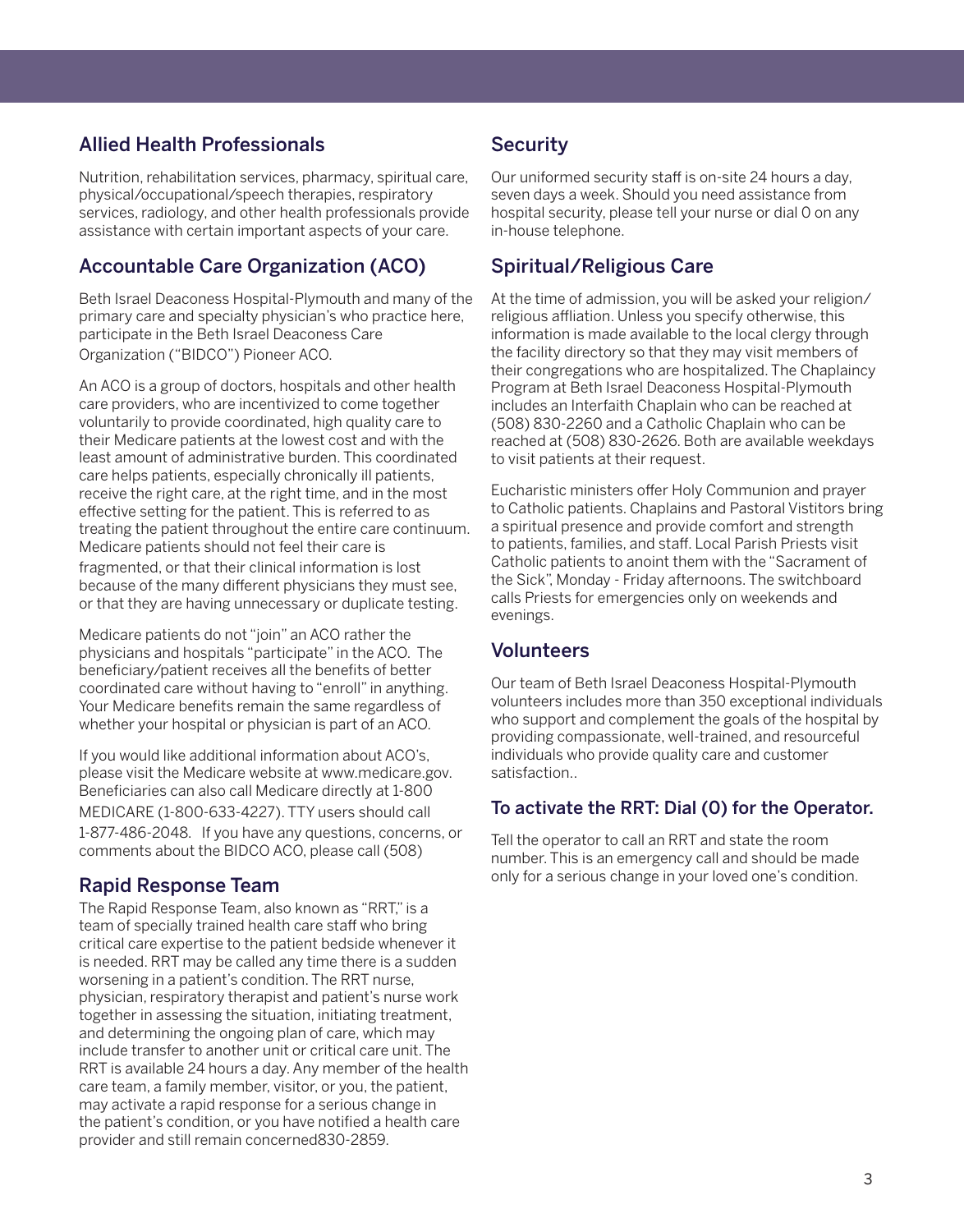# Allied Health Professionals

Nutrition, rehabilitation services, pharmacy, spiritual care, physical/occupational/speech therapies, respiratory services, radiology, and other health professionals provide assistance with certain important aspects of your care.

# Accountable Care Organization (ACO)

Beth Israel Deaconess Hospital-Plymouth and many of the primary care and specialty physician's who practice here, participate in the Beth Israel Deaconess Care Organization ("BIDCO") Pioneer ACO.

An ACO is a group of doctors, hospitals and other health care providers, who are incentivized to come together voluntarily to provide coordinated, high quality care to their Medicare patients at the lowest cost and with the least amount of administrative burden. This coordinated care helps patients, especially chronically ill patients, receive the right care, at the right time, and in the most effective setting for the patient. This is referred to as treating the patient throughout the entire care continuum. Medicare patients should not feel their care is fragmented, or that their clinical information is lost because of the many different physicians they must see, or that they are having unnecessary or duplicate testing.

Medicare patients do not "join" an ACO rather the physicians and hospitals "participate" in the ACO. The beneficiary/patient receives all the benefits of better coordinated care without having to "enroll" in anything. Your Medicare benefits remain the same regardless of whether your hospital or physician is part of an ACO.

If you would like additional information about ACO's, please visit the Medicare website at www.medicare.gov. Beneficiaries can also call Medicare directly at 1-800 MEDICARE (1-800-633-4227). TTY users should call 1-877-486-2048. If you have any questions, concerns, or comments about the BIDCO ACO, please call (508)

# Rapid Response Team

The Rapid Response Team, also known as "RRT," is a team of specially trained health care staff who bring critical care expertise to the patient bedside whenever it is needed. RRT may be called any time there is a sudden worsening in a patient's condition. The RRT nurse, physician, respiratory therapist and patient's nurse work together in assessing the situation, initiating treatment, and determining the ongoing plan of care, which may include transfer to another unit or critical care unit. The RRT is available 24 hours a day. Any member of the health care team, a family member, visitor, or you, the patient, may activate a rapid response for a serious change in the patient's condition, or you have notified a health care provider and still remain concerned830-2859.

# **Security**

Our uniformed security staff is on-site 24 hours a day, seven days a week. Should you need assistance from hospital security, please tell your nurse or dial 0 on any in-house telephone.

# Spiritual/Religious Care

At the time of admission, you will be asked your religion/ religious affliation. Unless you specify otherwise, this information is made available to the local clergy through the facility directory so that they may visit members of their congregations who are hospitalized. The Chaplaincy Program at Beth Israel Deaconess Hospital-Plymouth includes an Interfaith Chaplain who can be reached at (508) 830-2260 and a Catholic Chaplain who can be reached at (508) 830-2626. Both are available weekdays to visit patients at their request.

Eucharistic ministers offer Holy Communion and prayer to Catholic patients. Chaplains and Pastoral Vistitors bring a spiritual presence and provide comfort and strength to patients, families, and staff. Local Parish Priests visit Catholic patients to anoint them with the "Sacrament of the Sick", Monday - Friday afternoons. The switchboard calls Priests for emergencies only on weekends and evenings.

# Volunteers

Our team of Beth Israel Deaconess Hospital-Plymouth volunteers includes more than 350 exceptional individuals who support and complement the goals of the hospital by providing compassionate, well-trained, and resourceful individuals who provide quality care and customer satisfaction..

# To activate the RRT: Dial (0) for the Operator.

Tell the operator to call an RRT and state the room number. This is an emergency call and should be made only for a serious change in your loved one's condition.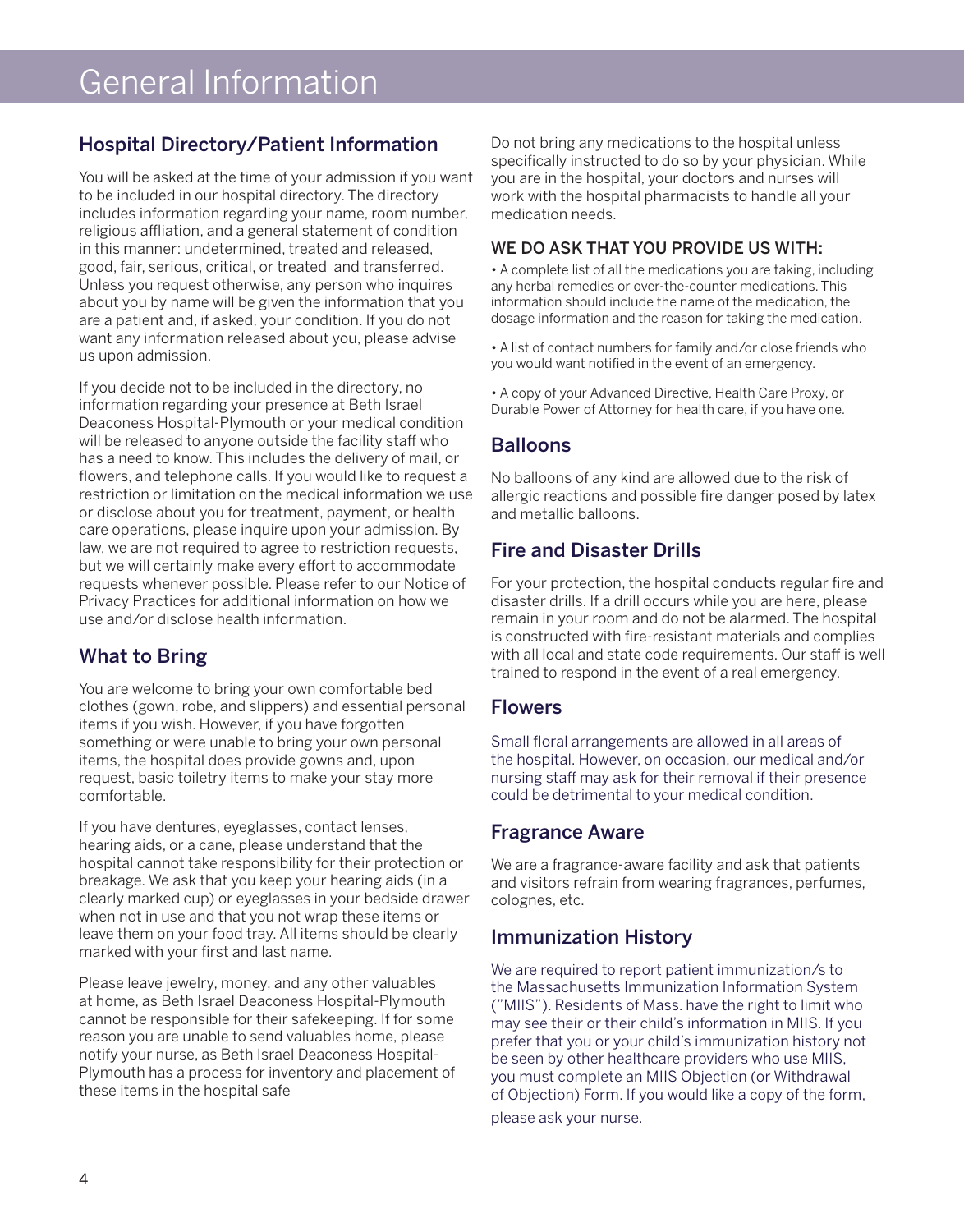# General Information

# Hospital Directory/Patient Information

You will be asked at the time of your admission if you want to be included in our hospital directory. The directory includes information regarding your name, room number, religious affliation, and a general statement of condition in this manner: undetermined, treated and released, good, fair, serious, critical, or treated and transferred. Unless you request otherwise, any person who inquires about you by name will be given the information that you are a patient and, if asked, your condition. If you do not want any information released about you, please advise us upon admission.

If you decide not to be included in the directory, no information regarding your presence at Beth Israel Deaconess Hospital-Plymouth or your medical condition will be released to anyone outside the facility staff who has a need to know. This includes the delivery of mail, or flowers, and telephone calls. If you would like to request a restriction or limitation on the medical information we use or disclose about you for treatment, payment, or health care operations, please inquire upon your admission. By law, we are not required to agree to restriction requests, but we will certainly make every effort to accommodate requests whenever possible. Please refer to our Notice of Privacy Practices for additional information on how we use and/or disclose health information.

# What to Bring

You are welcome to bring your own comfortable bed clothes (gown, robe, and slippers) and essential personal items if you wish. However, if you have forgotten something or were unable to bring your own personal items, the hospital does provide gowns and, upon request, basic toiletry items to make your stay more comfortable.

If you have dentures, eyeglasses, contact lenses, hearing aids, or a cane, please understand that the hospital cannot take responsibility for their protection or breakage. We ask that you keep your hearing aids (in a clearly marked cup) or eyeglasses in your bedside drawer when not in use and that you not wrap these items or leave them on your food tray. All items should be clearly marked with your first and last name.

Please leave jewelry, money, and any other valuables at home, as Beth Israel Deaconess Hospital-Plymouth cannot be responsible for their safekeeping. If for some reason you are unable to send valuables home, please notify your nurse, as Beth Israel Deaconess Hospital-Plymouth has a process for inventory and placement of these items in the hospital safe

Do not bring any medications to the hospital unless specifically instructed to do so by your physician. While you are in the hospital, your doctors and nurses will work with the hospital pharmacists to handle all your medication needs.

#### WE DO ASK THAT YOU PROVIDE US WITH:

• A complete list of all the medications you are taking, including any herbal remedies or over-the-counter medications. This information should include the name of the medication, the dosage information and the reason for taking the medication.

• A list of contact numbers for family and/or close friends who you would want notified in the event of an emergency.

• A copy of your Advanced Directive, Health Care Proxy, or Durable Power of Attorney for health care, if you have one.

# **Balloons**

No balloons of any kind are allowed due to the risk of allergic reactions and possible fire danger posed by latex and metallic balloons.

# Fire and Disaster Drills

For your protection, the hospital conducts regular fire and disaster drills. If a drill occurs while you are here, please remain in your room and do not be alarmed. The hospital is constructed with fire-resistant materials and complies with all local and state code requirements. Our staff is well trained to respond in the event of a real emergency.

### Flowers

Small floral arrangements are allowed in all areas of the hospital. However, on occasion, our medical and/or nursing staff may ask for their removal if their presence could be detrimental to your medical condition.

### Fragrance Aware

We are a fragrance-aware facility and ask that patients and visitors refrain from wearing fragrances, perfumes, colognes, etc.

# Immunization History

We are required to report patient immunization/s to the Massachusetts Immunization Information System ("MIIS"). Residents of Mass. have the right to limit who may see their or their child's information in MIIS. If you prefer that you or your child's immunization history not be seen by other healthcare providers who use MIIS, you must complete an MIIS Objection (or Withdrawal of Objection) Form. If you would like a copy of the form,

please ask your nurse.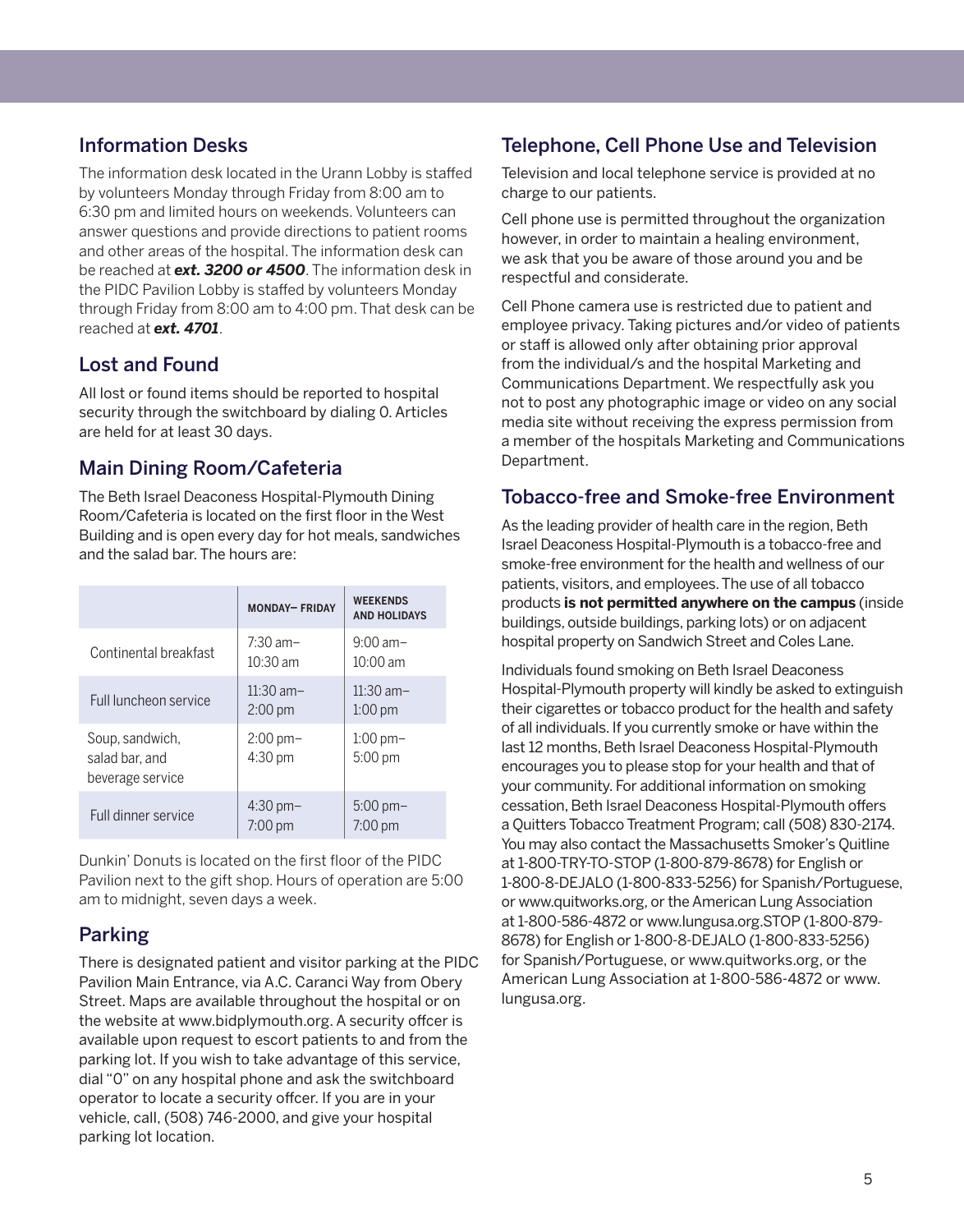# Information Desks

The information desk located in the Urann Lobby is staffed by volunteers Monday through Friday from 8:00 am to 6:30 pm and limited hours on weekends. Volunteers can answer questions and provide directions to patient rooms and other areas of the hospital. The information desk can be reached at *ext. 3200 or 4500*. The information desk in the PIDC Pavilion Lobby is staffed by volunteers Monday through Friday from 8:00 am to 4:00 pm. That desk can be reached at *ext. 4701*.

# Lost and Found

All lost or found items should be reported to hospital security through the switchboard by dialing 0. Articles are held for at least 30 days.

# Main Dining Room/Cafeteria

The Beth Israel Deaconess Hospital-Plymouth Dining Room/Cafeteria is located on the first floor in the West Building and is open every day for hot meals, sandwiches and the salad bar. The hours are:

|                                                       | <b>MONDAY-FRIDAY</b>             | <b>WEEKENDS</b><br><b>AND HOLIDAYS</b> |
|-------------------------------------------------------|----------------------------------|----------------------------------------|
| Continental breakfast                                 | $7:30$ am-<br>$10:30 \text{ am}$ | $9:00$ am-<br>$10:00$ am               |
| Full luncheon service                                 | $11:30$ am-<br>$2:00 \text{ pm}$ | $11:30$ am-<br>$1:00$ pm               |
| Soup, sandwich,<br>salad bar, and<br>beverage service | $2:00 \text{ pm}$<br>4:30 pm     | $1:00$ pm $-$<br>$5:00 \text{ pm}$     |
| Full dinner service                                   | $4:30$ pm $-$<br>$7:00$ pm       | $5:00 \,\mathrm{pm}$<br>$7:00$ pm      |

Dunkin' Donuts is located on the first floor of the PIDC Pavilion next to the gift shop. Hours of operation are 5:00 am to midnight, seven days a week.

# Parking

There is designated patient and visitor parking at the PIDC Pavilion Main Entrance, via A.C. Caranci Way from Obery Street. Maps are available throughout the hospital or on the website at www.bidplymouth.org. A security offcer is available upon request to escort patients to and from the parking lot. If you wish to take advantage of this service, dial "0" on any hospital phone and ask the switchboard operator to locate a security offcer. If you are in your vehicle, call, (508) 746-2000, and give your hospital parking lot location.

# Telephone, Cell Phone Use and Television

Television and local telephone service is provided at no charge to our patients.

Cell phone use is permitted throughout the organization however, in order to maintain a healing environment, we ask that you be aware of those around you and be respectful and considerate.

Cell Phone camera use is restricted due to patient and employee privacy. Taking pictures and/or video of patients or staff is allowed only after obtaining prior approval from the individual/s and the hospital Marketing and Communications Department. We respectfully ask you not to post any photographic image or video on any social media site without receiving the express permission from a member of the hospitals Marketing and Communications Department.

# Tobacco-free and Smoke-free Environment

As the leading provider of health care in the region, Beth Israel Deaconess Hospital-Plymouth is a tobacco-free and smoke-free environment for the health and wellness of our patients, visitors, and employees. The use of all tobacco products **is not permitted anywhere on the campus** (inside buildings, outside buildings, parking lots) or on adjacent hospital property on Sandwich Street and Coles Lane.

Individuals found smoking on Beth Israel Deaconess Hospital-Plymouth property will kindly be asked to extinguish their cigarettes or tobacco product for the health and safety of all individuals. If you currently smoke or have within the last 12 months, Beth Israel Deaconess Hospital-Plymouth encourages you to please stop for your health and that of your community. For additional information on smoking cessation, Beth Israel Deaconess Hospital-Plymouth offers a Quitters Tobacco Treatment Program; call (508) 830-2174. You may also contact the Massachusetts Smoker's Quitline at 1-800-TRY-TO-STOP (1-800-879-8678) for English or 1-800-8-DEJALO (1-800-833-5256) for Spanish/Portuguese, or www.quitworks.org, or the American Lung Association at 1-800-586-4872 or www.lungusa.org.STOP (1-800-879- 8678) for English or 1-800-8-DEJALO (1-800-833-5256) for Spanish/Portuguese, or www.quitworks.org, or the American Lung Association at 1-800-586-4872 or www. lungusa.org.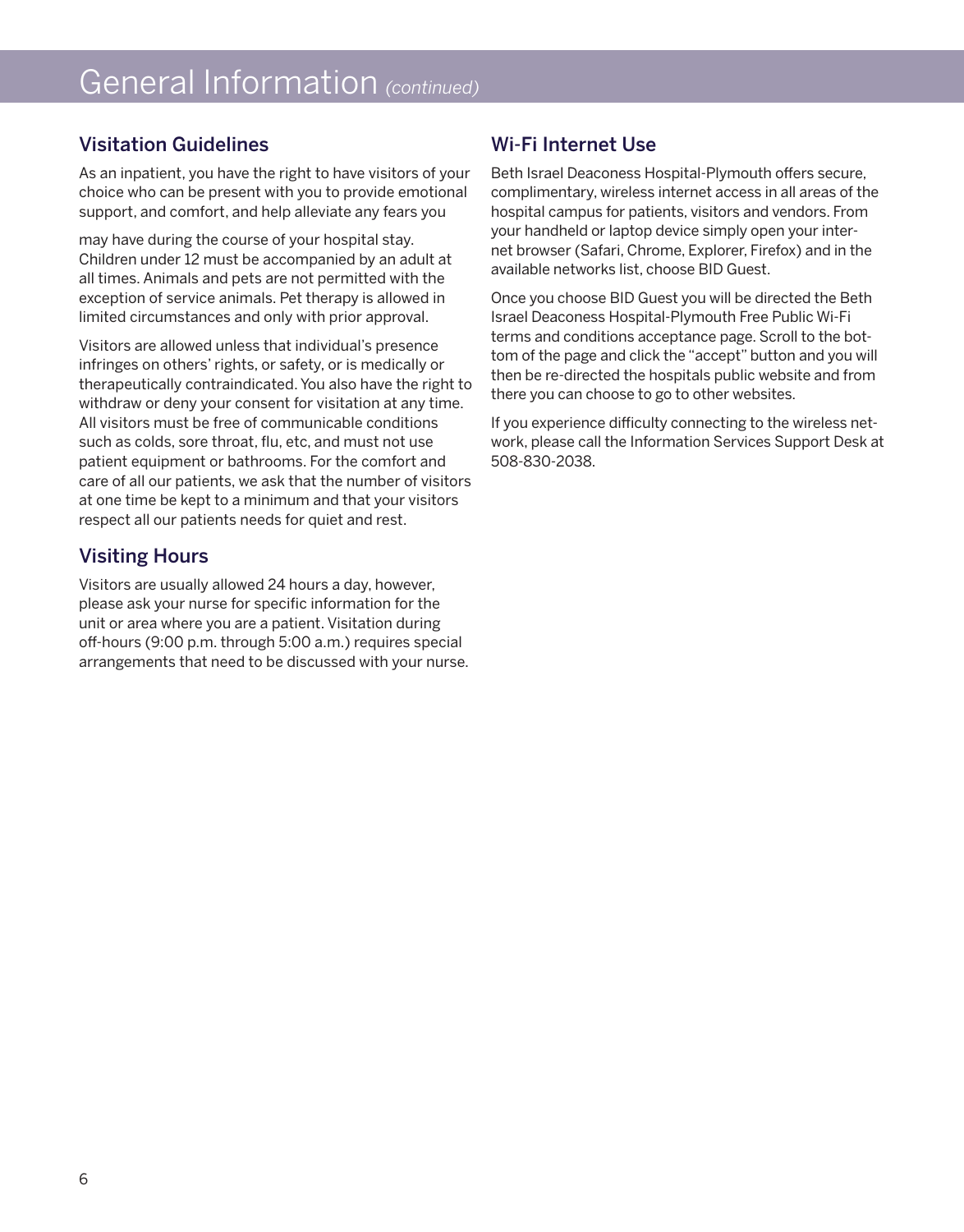# General Information *(continued)*

# Visitation Guidelines

As an inpatient, you have the right to have visitors of your choice who can be present with you to provide emotional support, and comfort, and help alleviate any fears you

may have during the course of your hospital stay. Children under 12 must be accompanied by an adult at all times. Animals and pets are not permitted with the exception of service animals. Pet therapy is allowed in limited circumstances and only with prior approval.

Visitors are allowed unless that individual's presence infringes on others' rights, or safety, or is medically or therapeutically contraindicated. You also have the right to withdraw or deny your consent for visitation at any time. All visitors must be free of communicable conditions such as colds, sore throat, flu, etc, and must not use patient equipment or bathrooms. For the comfort and care of all our patients, we ask that the number of visitors at one time be kept to a minimum and that your visitors respect all our patients needs for quiet and rest.

# Visiting Hours

Visitors are usually allowed 24 hours a day, however, please ask your nurse for specific information for the unit or area where you are a patient. Visitation during off-hours (9:00 p.m. through 5:00 a.m.) requires special arrangements that need to be discussed with your nurse.

# Wi-Fi Internet Use

Beth Israel Deaconess Hospital-Plymouth offers secure, complimentary, wireless internet access in all areas of the hospital campus for patients, visitors and vendors. From your handheld or laptop device simply open your internet browser (Safari, Chrome, Explorer, Firefox) and in the available networks list, choose BID Guest.

Once you choose BID Guest you will be directed the Beth Israel Deaconess Hospital-Plymouth Free Public Wi-Fi terms and conditions acceptance page. Scroll to the bottom of the page and click the "accept" button and you will then be re-directed the hospitals public website and from there you can choose to go to other websites.

If you experience difficulty connecting to the wireless network, please call the Information Services Support Desk at 508-830-2038.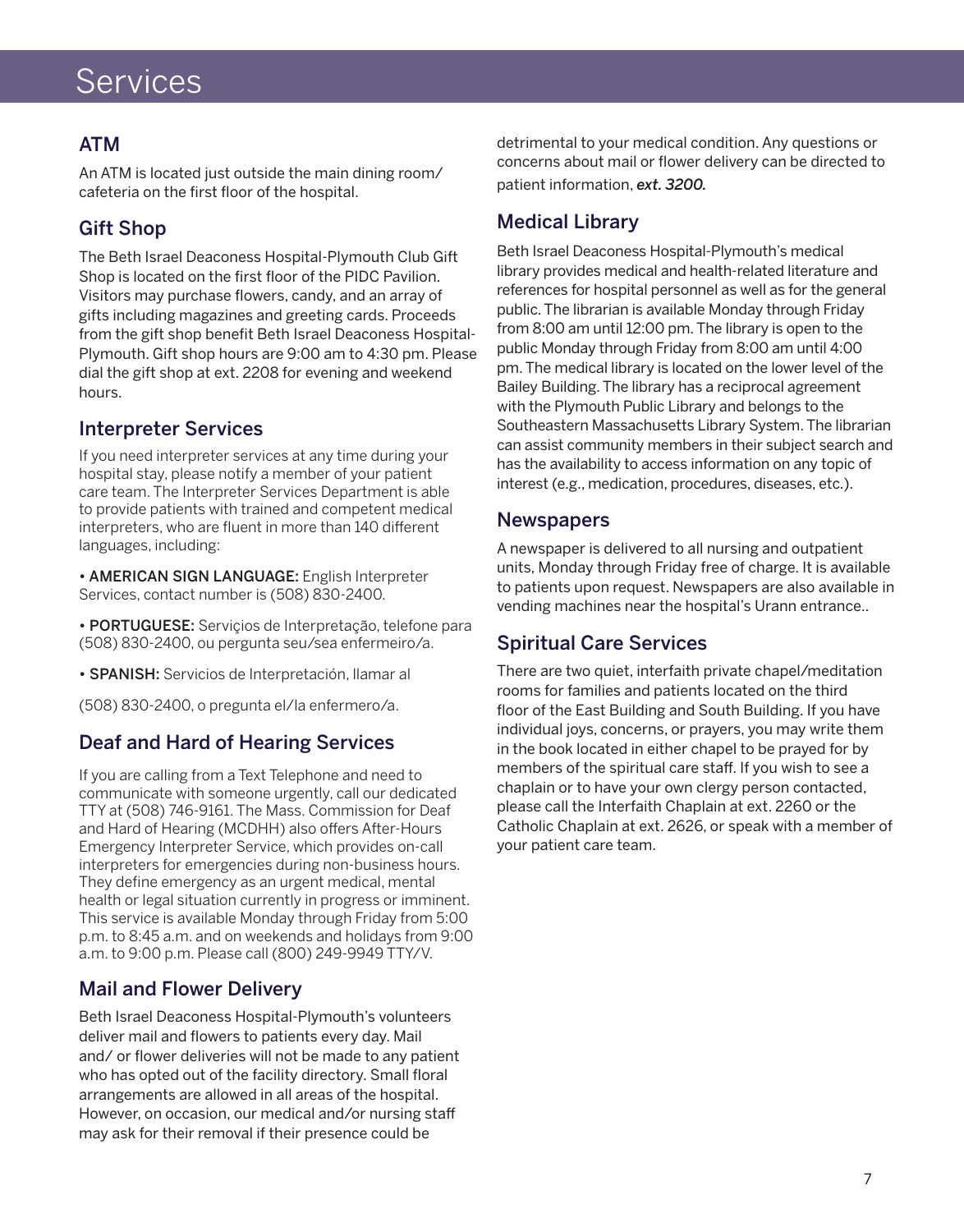# Services

# ATM

An ATM is located just outside the main dining room/ cafeteria on the first floor of the hospital.

# Gift Shop

The Beth Israel Deaconess Hospital-Plymouth Club Gift Shop is located on the first floor of the PIDC Pavilion. Visitors may purchase flowers, candy, and an array of gifts including magazines and greeting cards. Proceeds from the gift shop benefit Beth Israel Deaconess Hospital-Plymouth. Gift shop hours are 9:00 am to 4:30 pm. Please dial the gift shop at ext. 2208 for evening and weekend hours.

# Interpreter Services

If you need interpreter services at any time during your hospital stay, please notify a member of your patient care team. The Interpreter Services Department is able to provide patients with trained and competent medical interpreters, who are fluent in more than 140 different languages, including:

• AMERICAN SIGN LANGUAGE: English Interpreter Services, contact number is (508) 830-2400.

• PORTUGUESE: Serviçios de Interpretação, telefone para (508) 830-2400, ou pergunta seu/sea enfermeiro/a.

• SPANISH: Servicios de Interpretación, llamar al

(508) 830-2400, o pregunta el/la enfermero/a.

# Deaf and Hard of Hearing Services

If you are calling from a Text Telephone and need to communicate with someone urgently, call our dedicated TTY at (508) 746-9161. The Mass. Commission for Deaf and Hard of Hearing (MCDHH) also offers After-Hours Emergency Interpreter Service, which provides on-call interpreters for emergencies during non-business hours. They define emergency as an urgent medical, mental health or legal situation currently in progress or imminent. This service is available Monday through Friday from 5:00 p.m. to 8:45 a.m. and on weekends and holidays from 9:00 a.m. to 9:00 p.m. Please call (800) 249-9949 TTY/V.

# Mail and Flower Delivery

Beth Israel Deaconess Hospital-Plymouth's volunteers deliver mail and flowers to patients every day. Mail and/ or flower deliveries will not be made to any patient who has opted out of the facility directory. Small floral arrangements are allowed in all areas of the hospital. However, on occasion, our medical and/or nursing staff may ask for their removal if their presence could be

detrimental to your medical condition. Any questions or concerns about mail or flower delivery can be directed to patient information, *ext. 3200.*

# Medical Library

Beth Israel Deaconess Hospital-Plymouth's medical library provides medical and health-related literature and references for hospital personnel as well as for the general public. The librarian is available Monday through Friday from 8:00 am until 12:00 pm. The library is open to the public Monday through Friday from 8:00 am until 4:00 pm. The medical library is located on the lower level of the Bailey Building. The library has a reciprocal agreement with the Plymouth Public Library and belongs to the Southeastern Massachusetts Library System. The librarian can assist community members in their subject search and has the availability to access information on any topic of interest (e.g., medication, procedures, diseases, etc.).

#### **Newspapers**

A newspaper is delivered to all nursing and outpatient units, Monday through Friday free of charge. It is available to patients upon request. Newspapers are also available in vending machines near the hospital's Urann entrance..

# Spiritual Care Services

There are two quiet, interfaith private chapel/meditation rooms for families and patients located on the third floor of the East Building and South Building. If you have individual joys, concerns, or prayers, you may write them in the book located in either chapel to be prayed for by members of the spiritual care staff. If you wish to see a chaplain or to have your own clergy person contacted, please call the Interfaith Chaplain at ext. 2260 or the Catholic Chaplain at ext. 2626, or speak with a member of your patient care team.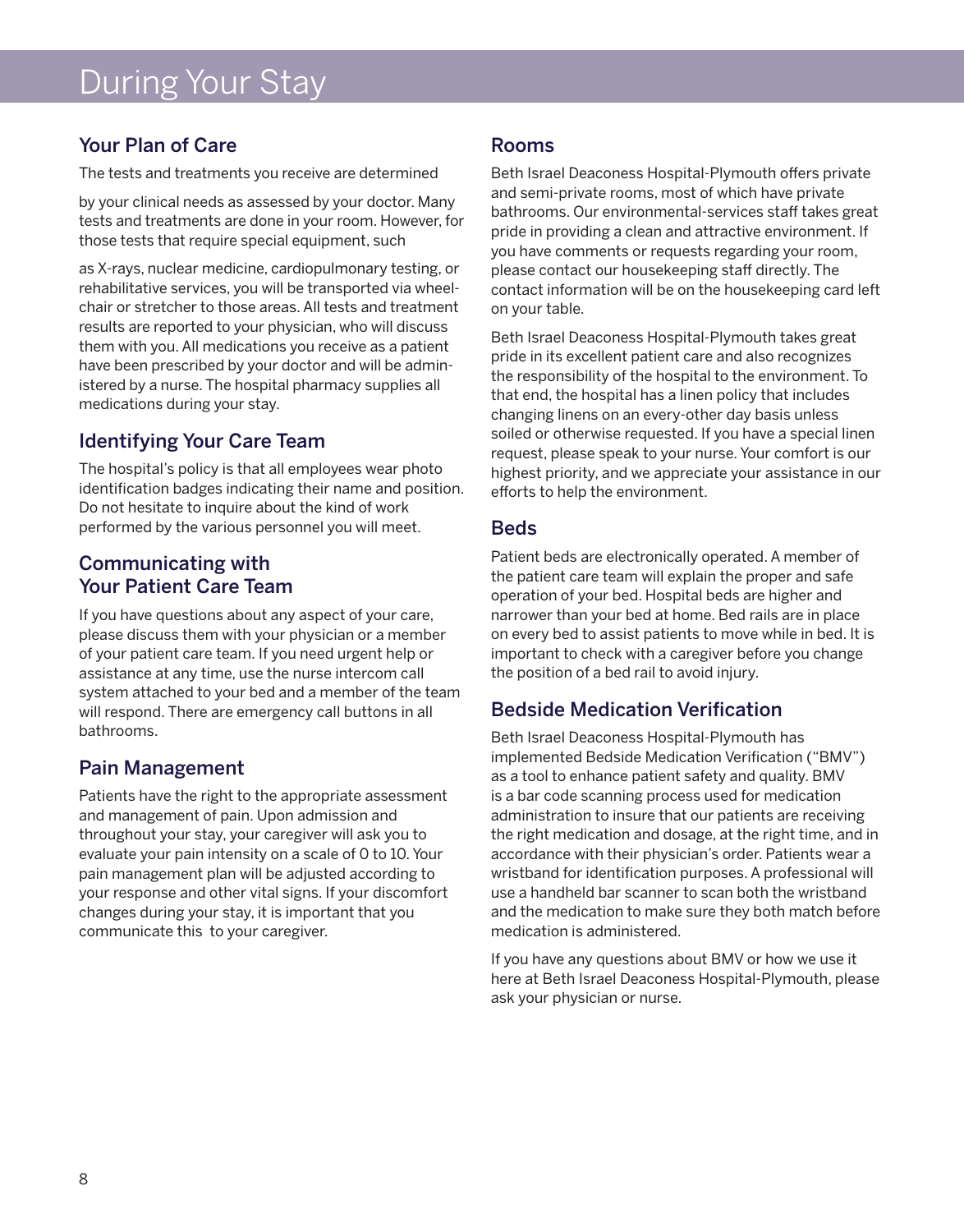# During Your Stay

# Your Plan of Care

The tests and treatments you receive are determined

by your clinical needs as assessed by your doctor. Many tests and treatments are done in your room. However, for those tests that require special equipment, such

as X-rays, nuclear medicine, cardiopulmonary testing, or rehabilitative services, you will be transported via wheelchair or stretcher to those areas. All tests and treatment results are reported to your physician, who will discuss them with you. All medications you receive as a patient have been prescribed by your doctor and will be administered by a nurse. The hospital pharmacy supplies all medications during your stay.

# Identifying Your Care Team

The hospital's policy is that all employees wear photo identification badges indicating their name and position. Do not hesitate to inquire about the kind of work performed by the various personnel you will meet.

# Communicating with Your Patient Care Team

If you have questions about any aspect of your care, please discuss them with your physician or a member of your patient care team. If you need urgent help or assistance at any time, use the nurse intercom call system attached to your bed and a member of the team will respond. There are emergency call buttons in all bathrooms.

# Pain Management

Patients have the right to the appropriate assessment and management of pain. Upon admission and throughout your stay, your caregiver will ask you to evaluate your pain intensity on a scale of 0 to 10. Your pain management plan will be adjusted according to your response and other vital signs. If your discomfort changes during your stay, it is important that you communicate this to your caregiver.

# Rooms

Beth Israel Deaconess Hospital-Plymouth offers private and semi-private rooms, most of which have private bathrooms. Our environmental-services staff takes great pride in providing a clean and attractive environment. If you have comments or requests regarding your room, please contact our housekeeping staff directly. The contact information will be on the housekeeping card left on your table.

Beth Israel Deaconess Hospital-Plymouth takes great pride in its excellent patient care and also recognizes the responsibility of the hospital to the environment. To that end, the hospital has a linen policy that includes changing linens on an every-other day basis unless soiled or otherwise requested. If you have a special linen request, please speak to your nurse. Your comfort is our highest priority, and we appreciate your assistance in our efforts to help the environment.

# Beds

Patient beds are electronically operated. A member of the patient care team will explain the proper and safe operation of your bed. Hospital beds are higher and narrower than your bed at home. Bed rails are in place on every bed to assist patients to move while in bed. It is important to check with a caregiver before you change the position of a bed rail to avoid injury.

# Bedside Medication Verification

Beth Israel Deaconess Hospital-Plymouth has implemented Bedside Medication Verification ("BMV") as a tool to enhance patient safety and quality. BMV is a bar code scanning process used for medication administration to insure that our patients are receiving the right medication and dosage, at the right time, and in accordance with their physician's order. Patients wear a wristband for identification purposes. A professional will use a handheld bar scanner to scan both the wristband and the medication to make sure they both match before medication is administered.

If you have any questions about BMV or how we use it here at Beth Israel Deaconess Hospital-Plymouth, please ask your physician or nurse.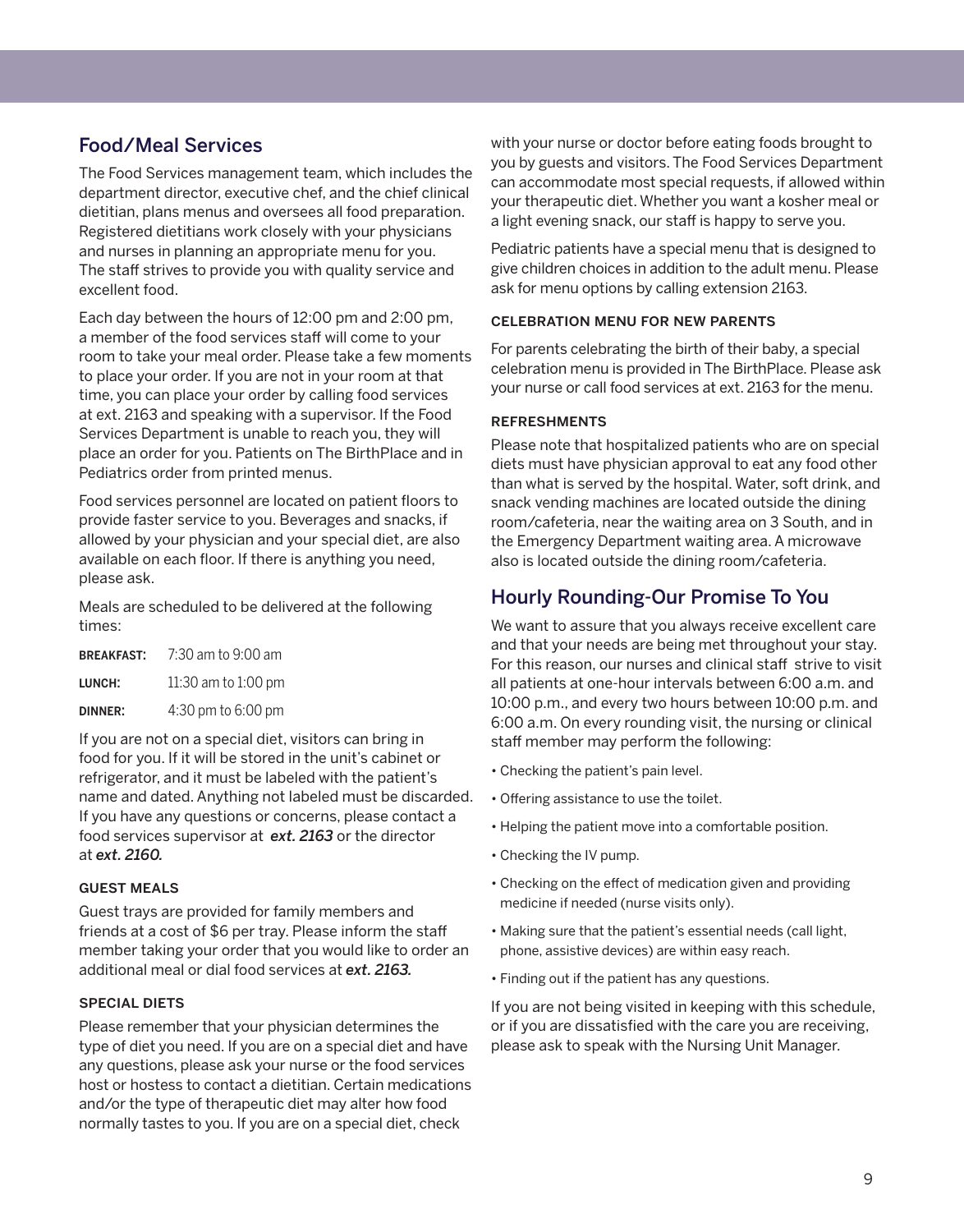# Food/Meal Services

The Food Services management team, which includes the department director, executive chef, and the chief clinical dietitian, plans menus and oversees all food preparation. Registered dietitians work closely with your physicians and nurses in planning an appropriate menu for you. The staff strives to provide you with quality service and excellent food.

Each day between the hours of 12:00 pm and 2:00 pm, a member of the food services staff will come to your room to take your meal order. Please take a few moments to place your order. If you are not in your room at that time, you can place your order by calling food services at ext. 2163 and speaking with a supervisor. If the Food Services Department is unable to reach you, they will place an order for you. Patients on The BirthPlace and in Pediatrics order from printed menus.

Food services personnel are located on patient floors to provide faster service to you. Beverages and snacks, if allowed by your physician and your special diet, are also available on each floor. If there is anything you need, please ask.

Meals are scheduled to be delivered at the following times:

| <b>BREAKFAST:</b> | 7:30 am to 9:00 am  |
|-------------------|---------------------|
| LUNCH:            | 11:30 am to 1:00 pm |
| <b>DINNER:</b>    | 4:30 pm to 6:00 pm  |

If you are not on a special diet, visitors can bring in food for you. If it will be stored in the unit's cabinet or refrigerator, and it must be labeled with the patient's name and dated. Anything not labeled must be discarded. If you have any questions or concerns, please contact a food services supervisor at *ext. 2163* or the director at *ext. 2160.* 

#### guest meals

Guest trays are provided for family members and friends at a cost of \$6 per tray. Please inform the staff member taking your order that you would like to order an additional meal or dial food services at *ext. 2163.*

#### **SPECIAL DIETS**

Please remember that your physician determines the type of diet you need. If you are on a special diet and have any questions, please ask your nurse or the food services host or hostess to contact a dietitian. Certain medications and/or the type of therapeutic diet may alter how food normally tastes to you. If you are on a special diet, check

with your nurse or doctor before eating foods brought to you by guests and visitors. The Food Services Department can accommodate most special requests, if allowed within your therapeutic diet. Whether you want a kosher meal or a light evening snack, our staff is happy to serve you.

Pediatric patients have a special menu that is designed to give children choices in addition to the adult menu. Please ask for menu options by calling extension 2163.

#### celebration menu for new parents

For parents celebrating the birth of their baby, a special celebration menu is provided in The BirthPlace. Please ask your nurse or call food services at ext. 2163 for the menu.

#### refreshments

Please note that hospitalized patients who are on special diets must have physician approval to eat any food other than what is served by the hospital. Water, soft drink, and snack vending machines are located outside the dining room/cafeteria, near the waiting area on 3 South, and in the Emergency Department waiting area. A microwave also is located outside the dining room/cafeteria.

# Hourly Rounding-Our Promise To You

We want to assure that you always receive excellent care and that your needs are being met throughout your stay. For this reason, our nurses and clinical staff strive to visit all patients at one-hour intervals between 6:00 a.m. and 10:00 p.m., and every two hours between 10:00 p.m. and 6:00 a.m. On every rounding visit, the nursing or clinical staff member may perform the following:

- Checking the patient's pain level.
- Offering assistance to use the toilet.
- Helping the patient move into a comfortable position.
- Checking the IV pump.
- Checking on the effect of medication given and providing medicine if needed (nurse visits only).
- Making sure that the patient's essential needs (call light, • phone, assistive devices) are within easy reach.
- Finding out if the patient has any questions.

If you are not being visited in keeping with this schedule, or if you are dissatisfied with the care you are receiving, please ask to speak with the Nursing Unit Manager.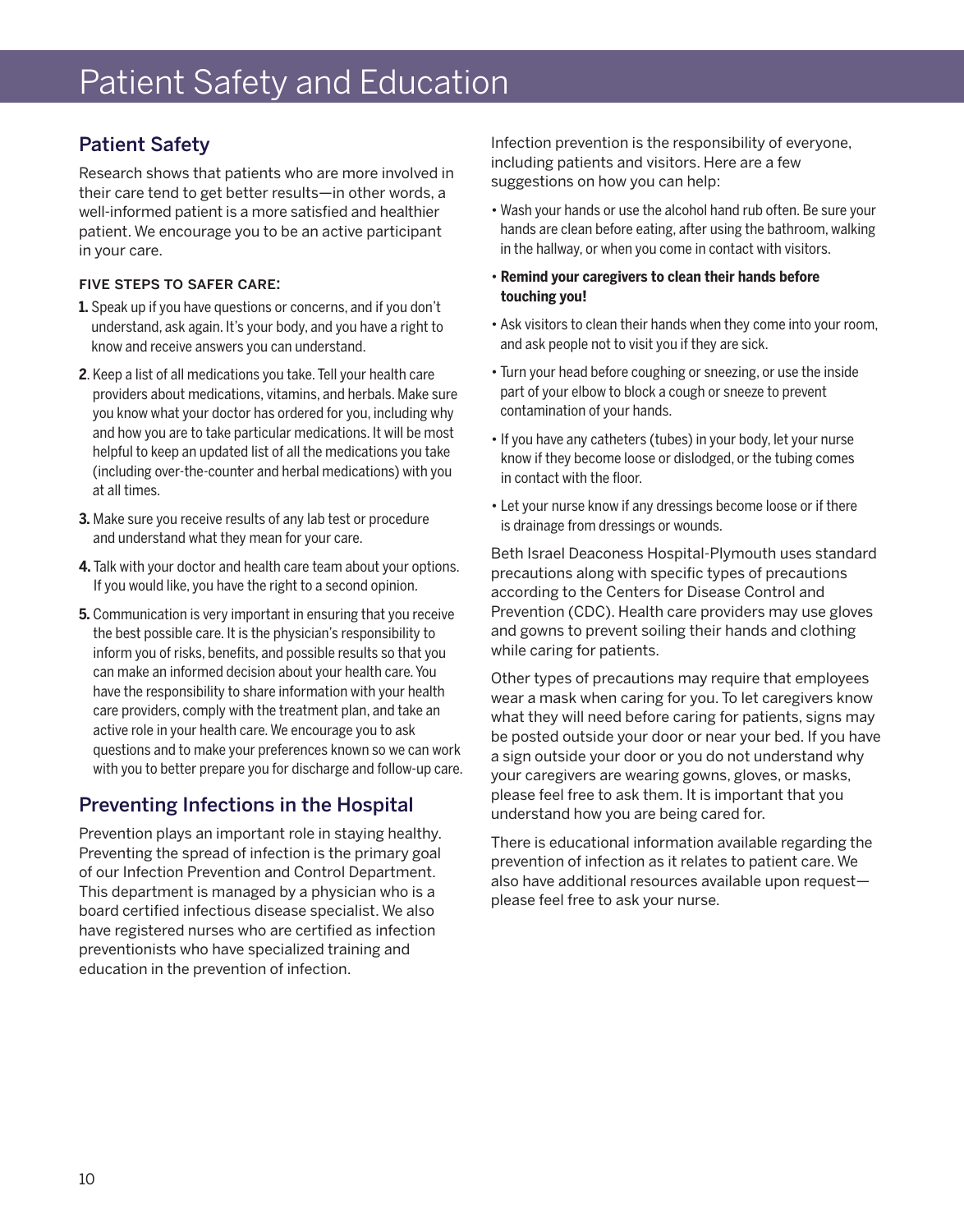# Patient Safety and Education

# Patient Safety

Research shows that patients who are more involved in their care tend to get better results—in other words, a well-informed patient is a more satisfied and healthier patient. We encourage you to be an active participant in your care.

#### five steps to safer care:

- **1.** Speak up if you have questions or concerns, and if you don't understand, ask again. It's your body, and you have a right to know and receive answers you can understand.
- **2**. Keep a list of all medications you take. Tell your health care providers about medications, vitamins, and herbals. Make sure you know what your doctor has ordered for you, including why and how you are to take particular medications. It will be most helpful to keep an updated list of all the medications you take (including over-the-counter and herbal medications) with you at all times.
- **3.** Make sure you receive results of any lab test or procedure and understand what they mean for your care.
- **4.** Talk with your doctor and health care team about your options. If you would like, you have the right to a second opinion.
- **5.** Communication is very important in ensuring that you receive the best possible care. It is the physician's responsibility to inform you of risks, benefits, and possible results so that you can make an informed decision about your health care. You have the responsibility to share information with your health care providers, comply with the treatment plan, and take an active role in your health care. We encourage you to ask questions and to make your preferences known so we can work with you to better prepare you for discharge and follow-up care.

# Preventing Infections in the Hospital

Prevention plays an important role in staying healthy. Preventing the spread of infection is the primary goal of our Infection Prevention and Control Department. This department is managed by a physician who is a board certified infectious disease specialist. We also have registered nurses who are certified as infection preventionists who have specialized training and education in the prevention of infection.

Infection prevention is the responsibility of everyone, including patients and visitors. Here are a few suggestions on how you can help:

- Wash your hands or use the alcohol hand rub often. Be sure your hands are clean before eating, after using the bathroom, walking in the hallway, or when you come in contact with visitors.
- **Remind your caregivers to clean their hands before touching you!**
- Ask visitors to clean their hands when they come into your room, and ask people not to visit you if they are sick.
- Turn your head before coughing or sneezing, or use the inside part of your elbow to block a cough or sneeze to prevent contamination of your hands.
- If you have any catheters (tubes) in your body, let your nurse know if they become loose or dislodged, or the tubing comes in contact with the floor.
- Let your nurse know if any dressings become loose or if there is drainage from dressings or wounds.

Beth Israel Deaconess Hospital-Plymouth uses standard precautions along with specific types of precautions according to the Centers for Disease Control and Prevention (CDC). Health care providers may use gloves and gowns to prevent soiling their hands and clothing while caring for patients.

Other types of precautions may require that employees wear a mask when caring for you. To let caregivers know what they will need before caring for patients, signs may be posted outside your door or near your bed. If you have a sign outside your door or you do not understand why your caregivers are wearing gowns, gloves, or masks, please feel free to ask them. It is important that you understand how you are being cared for.

There is educational information available regarding the prevention of infection as it relates to patient care. We also have additional resources available upon request please feel free to ask your nurse.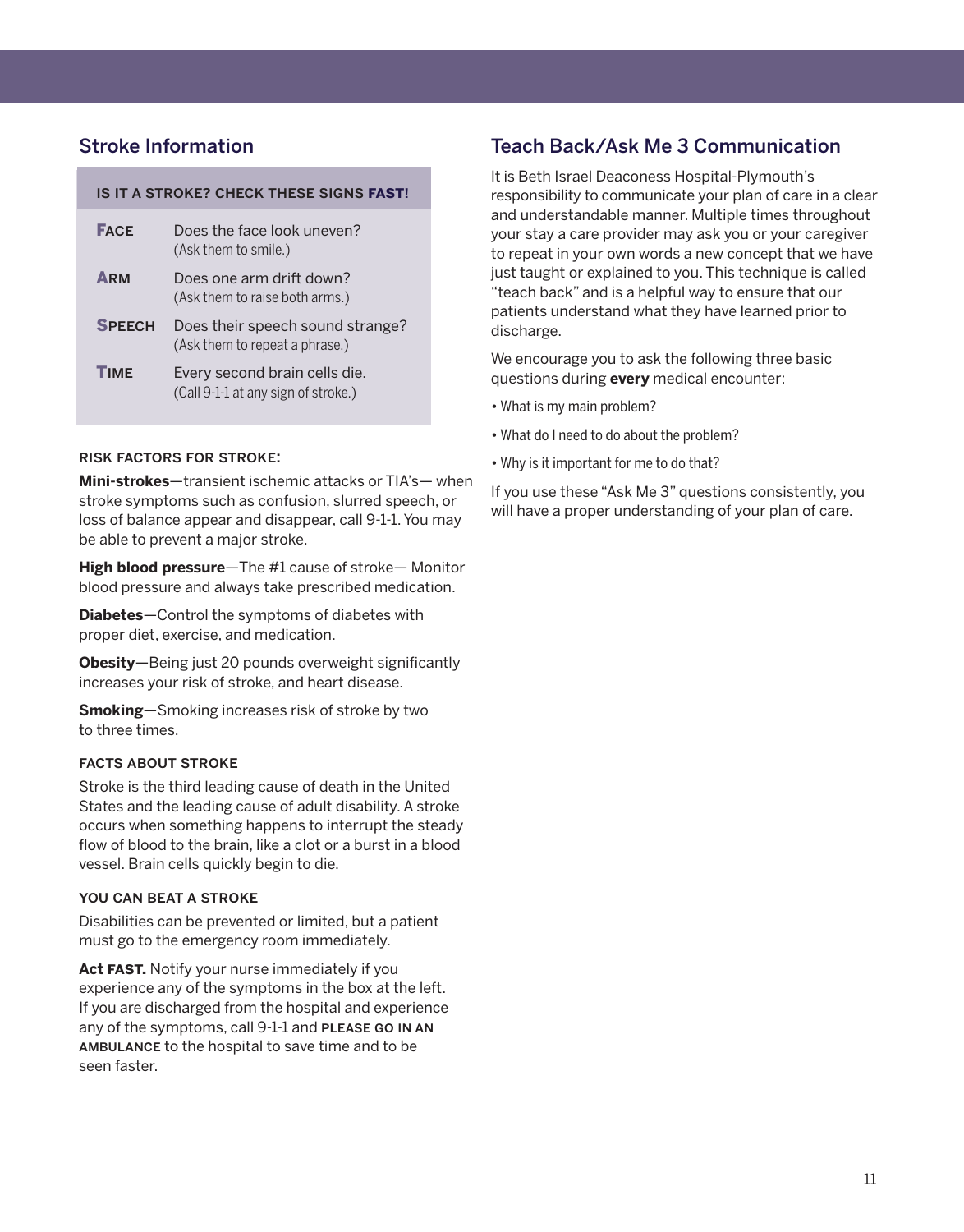## Stroke Information

#### is it a stroke? check these signs **fast**!

| <b>FACE</b>   | Does the face look uneven?<br>(Ask them to smile.)                   |
|---------------|----------------------------------------------------------------------|
| <b>ARM</b>    | Does one arm drift down?<br>(Ask them to raise both arms.)           |
| <b>SPEECH</b> | Does their speech sound strange?<br>(Ask them to repeat a phrase.)   |
| <b>TIMF</b>   | Every second brain cells die.<br>(Call 9-1-1 at any sign of stroke.) |

#### risk factors for stroke:

**Mini-strokes**—transient ischemic attacks or TIA's— when stroke symptoms such as confusion, slurred speech, or loss of balance appear and disappear, call 9-1-1. You may be able to prevent a major stroke.

**High blood pressure**—The #1 cause of stroke— Monitor blood pressure and always take prescribed medication.

**Diabetes**—Control the symptoms of diabetes with proper diet, exercise, and medication.

**Obesity**—Being just 20 pounds overweight significantly increases your risk of stroke, and heart disease.

**Smoking**—Smoking increases risk of stroke by two to three times.

#### facts about stroke

Stroke is the third leading cause of death in the United States and the leading cause of adult disability. A stroke occurs when something happens to interrupt the steady flow of blood to the brain, like a clot or a burst in a blood vessel. Brain cells quickly begin to die.

#### you can beat a stroke

Disabilities can be prevented or limited, but a patient must go to the emergency room immediately.

**Act fast.** Notify your nurse immediately if you experience any of the symptoms in the box at the left. If you are discharged from the hospital and experience any of the symptoms, call 9-1-1 and PLEASE GO IN AN ambulance to the hospital to save time and to be seen faster.

### Teach Back/Ask Me 3 Communication

It is Beth Israel Deaconess Hospital-Plymouth's responsibility to communicate your plan of care in a clear and understandable manner. Multiple times throughout your stay a care provider may ask you or your caregiver to repeat in your own words a new concept that we have just taught or explained to you. This technique is called "teach back" and is a helpful way to ensure that our patients understand what they have learned prior to discharge.

We encourage you to ask the following three basic questions during **every** medical encounter:

- What is my main problem?
- What do I need to do about the problem?
- Why is it important for me to do that?

If you use these "Ask Me 3" questions consistently, you will have a proper understanding of your plan of care.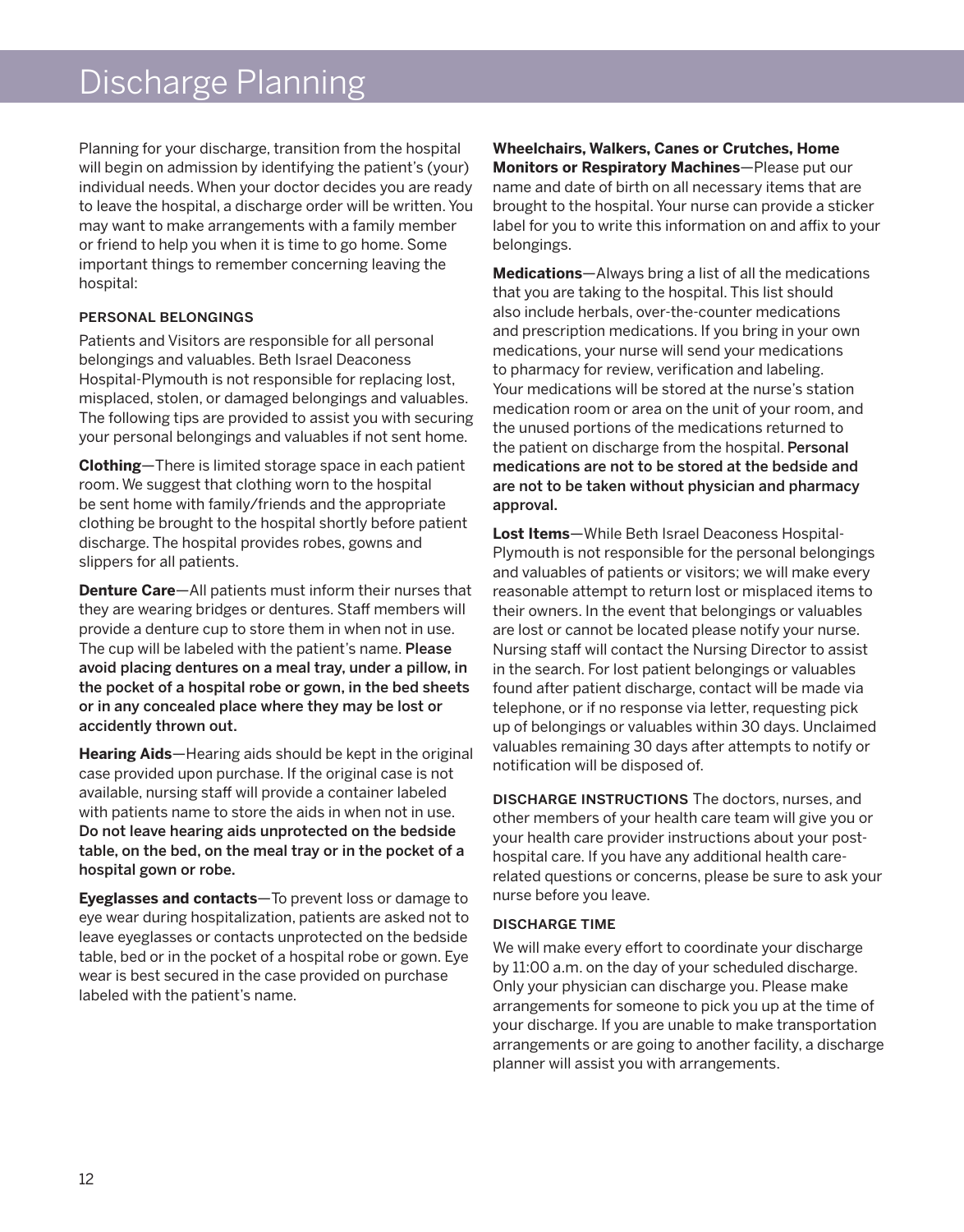# Discharge Planning

Planning for your discharge, transition from the hospital will begin on admission by identifying the patient's (your) individual needs. When your doctor decides you are ready to leave the hospital, a discharge order will be written. You may want to make arrangements with a family member or friend to help you when it is time to go home. Some important things to remember concerning leaving the hospital:

#### personal belongings

Patients and Visitors are responsible for all personal belongings and valuables. Beth Israel Deaconess Hospital-Plymouth is not responsible for replacing lost, misplaced, stolen, or damaged belongings and valuables. The following tips are provided to assist you with securing your personal belongings and valuables if not sent home.

**Clothing**—There is limited storage space in each patient room. We suggest that clothing worn to the hospital be sent home with family/friends and the appropriate clothing be brought to the hospital shortly before patient discharge. The hospital provides robes, gowns and slippers for all patients.

**Denture Care**—All patients must inform their nurses that they are wearing bridges or dentures. Staff members will provide a denture cup to store them in when not in use. The cup will be labeled with the patient's name. Please avoid placing dentures on a meal tray, under a pillow, in the pocket of a hospital robe or gown, in the bed sheets or in any concealed place where they may be lost or accidently thrown out.

**Hearing Aids**—Hearing aids should be kept in the original case provided upon purchase. If the original case is not available, nursing staff will provide a container labeled with patients name to store the aids in when not in use. Do not leave hearing aids unprotected on the bedside table, on the bed, on the meal tray or in the pocket of a hospital gown or robe.

**Eyeglasses and contacts**—To prevent loss or damage to eye wear during hospitalization, patients are asked not to leave eyeglasses or contacts unprotected on the bedside table, bed or in the pocket of a hospital robe or gown. Eye wear is best secured in the case provided on purchase labeled with the patient's name.

**Wheelchairs, Walkers, Canes or Crutches, Home Monitors or Respiratory Machines**—Please put our name and date of birth on all necessary items that are brought to the hospital. Your nurse can provide a sticker label for you to write this information on and affix to your belongings.

**Medications**—Always bring a list of all the medications that you are taking to the hospital. This list should also include herbals, over-the-counter medications and prescription medications. If you bring in your own medications, your nurse will send your medications to pharmacy for review, verification and labeling. Your medications will be stored at the nurse's station medication room or area on the unit of your room, and the unused portions of the medications returned to the patient on discharge from the hospital. Personal medications are not to be stored at the bedside and are not to be taken without physician and pharmacy approval.

**Lost Items**—While Beth Israel Deaconess Hospital-Plymouth is not responsible for the personal belongings and valuables of patients or visitors; we will make every reasonable attempt to return lost or misplaced items to their owners. In the event that belongings or valuables are lost or cannot be located please notify your nurse. Nursing staff will contact the Nursing Director to assist in the search. For lost patient belongings or valuables found after patient discharge, contact will be made via telephone, or if no response via letter, requesting pick up of belongings or valuables within 30 days. Unclaimed valuables remaining 30 days after attempts to notify or notification will be disposed of.

discharge instructions The doctors, nurses, and other members of your health care team will give you or your health care provider instructions about your posthospital care. If you have any additional health carerelated questions or concerns, please be sure to ask your nurse before you leave.

#### discharge time

We will make every effort to coordinate your discharge by 11:00 a.m. on the day of your scheduled discharge. Only your physician can discharge you. Please make arrangements for someone to pick you up at the time of your discharge. If you are unable to make transportation arrangements or are going to another facility, a discharge planner will assist you with arrangements.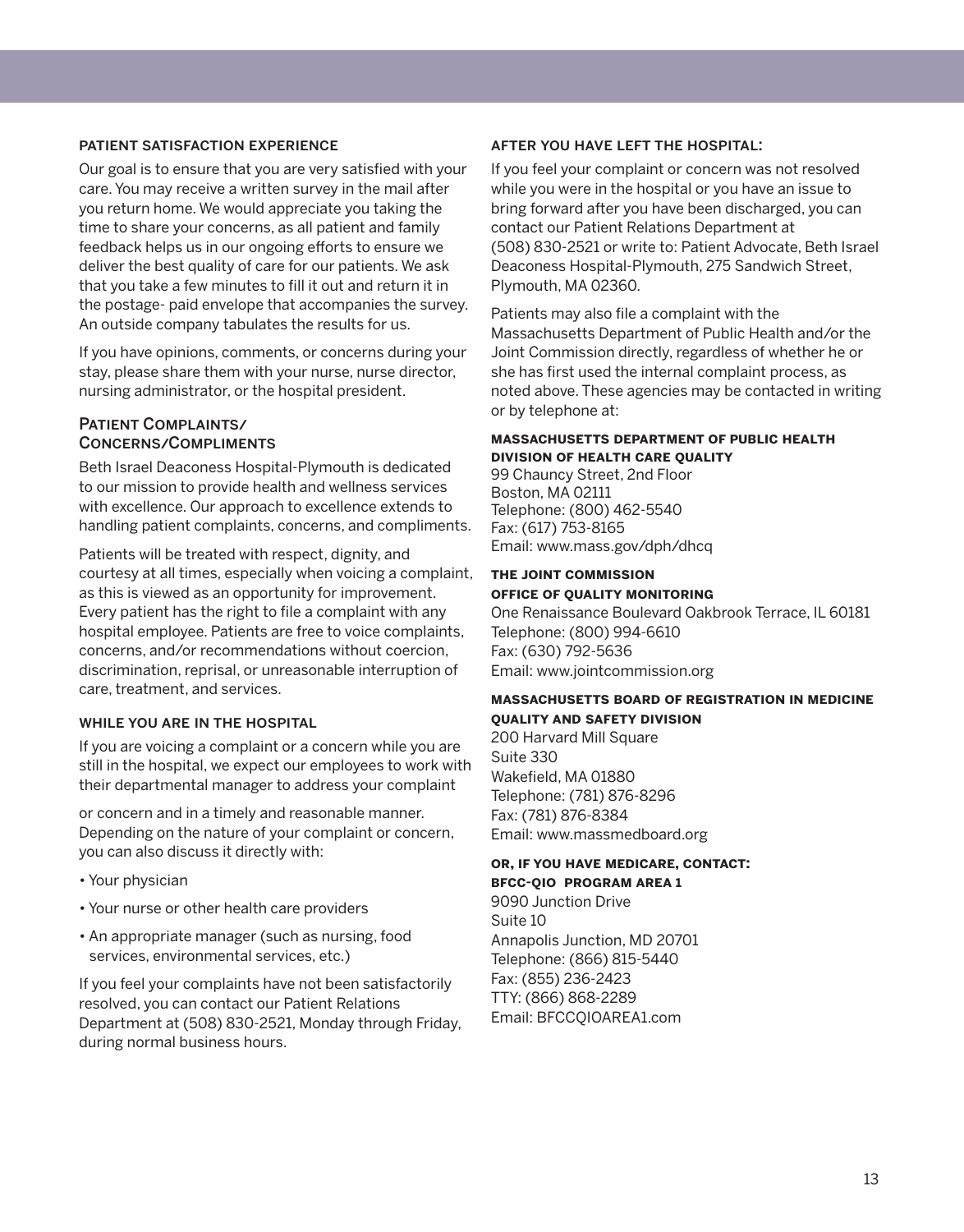#### patient satisfaction experience

Our goal is to ensure that you are very satisfied with your care. You may receive a written survey in the mail after you return home. We would appreciate you taking the time to share your concerns, as all patient and family feedback helps us in our ongoing efforts to ensure we deliver the best quality of care for our patients. We ask that you take a few minutes to fill it out and return it in the postage- paid envelope that accompanies the survey. An outside company tabulates the results for us.

If you have opinions, comments, or concerns during your stay, please share them with your nurse, nurse director, nursing administrator, or the hospital president.

#### PATIENT COMPLAINTS/ Concerns/Compliments

Beth Israel Deaconess Hospital-Plymouth is dedicated to our mission to provide health and wellness services with excellence. Our approach to excellence extends to handling patient complaints, concerns, and compliments.

Patients will be treated with respect, dignity, and courtesy at all times, especially when voicing a complaint, as this is viewed as an opportunity for improvement. Every patient has the right to file a complaint with any hospital employee. Patients are free to voice complaints, concerns, and/or recommendations without coercion, discrimination, reprisal, or unreasonable interruption of care, treatment, and services.

#### while you are in the hospital

If you are voicing a complaint or a concern while you are still in the hospital, we expect our employees to work with their departmental manager to address your complaint

or concern and in a timely and reasonable manner. Depending on the nature of your complaint or concern, you can also discuss it directly with:

- Your physician
- Your nurse or other health care providers
- An appropriate manager (such as nursing, food services, environmental services, etc.)

If you feel your complaints have not been satisfactorily resolved, you can contact our Patient Relations Department at (508) 830-2521, Monday through Friday, during normal business hours.

#### after you have left the hospital:

If you feel your complaint or concern was not resolved while you were in the hospital or you have an issue to bring forward after you have been discharged, you can contact our Patient Relations Department at (508) 830-2521 or write to: Patient Advocate, Beth Israel Deaconess Hospital-Plymouth, 275 Sandwich Street, Plymouth, MA 02360.

Patients may also file a complaint with the Massachusetts Department of Public Health and/or the Joint Commission directly, regardless of whether he or she has first used the internal complaint process, as noted above. These agencies may be contacted in writing or by telephone at:

#### **massachusetts department of public health division of health care quality**

99 Chauncy Street, 2nd Floor Boston, MA 02111 Telephone: (800) 462-5540 Fax: (617) 753-8165 Email: www.mass.gov/dph/dhcq

#### **the joint commission**

#### **office of quality monitoring**

One Renaissance Boulevard Oakbrook Terrace, IL 60181 Telephone: (800) 994-6610 Fax: (630) 792-5636 Email: www.jointcommission.org

#### **massachusetts board of registration in medicine quality and safety division**

200 Harvard Mill Square Suite 330 Wakefield, MA 01880 Telephone: (781) 876-8296 Fax: (781) 876-8384 Email: www.massmedboard.org

#### **or, if you have medicare, contact: bfcc-qio program area 1**

9090 Junction Drive Suite 10 Annapolis Junction, MD 20701 Telephone: (866) 815-5440 Fax: (855) 236-2423 TTY: (866) 868-2289 Email: BFCCQIOAREA1.com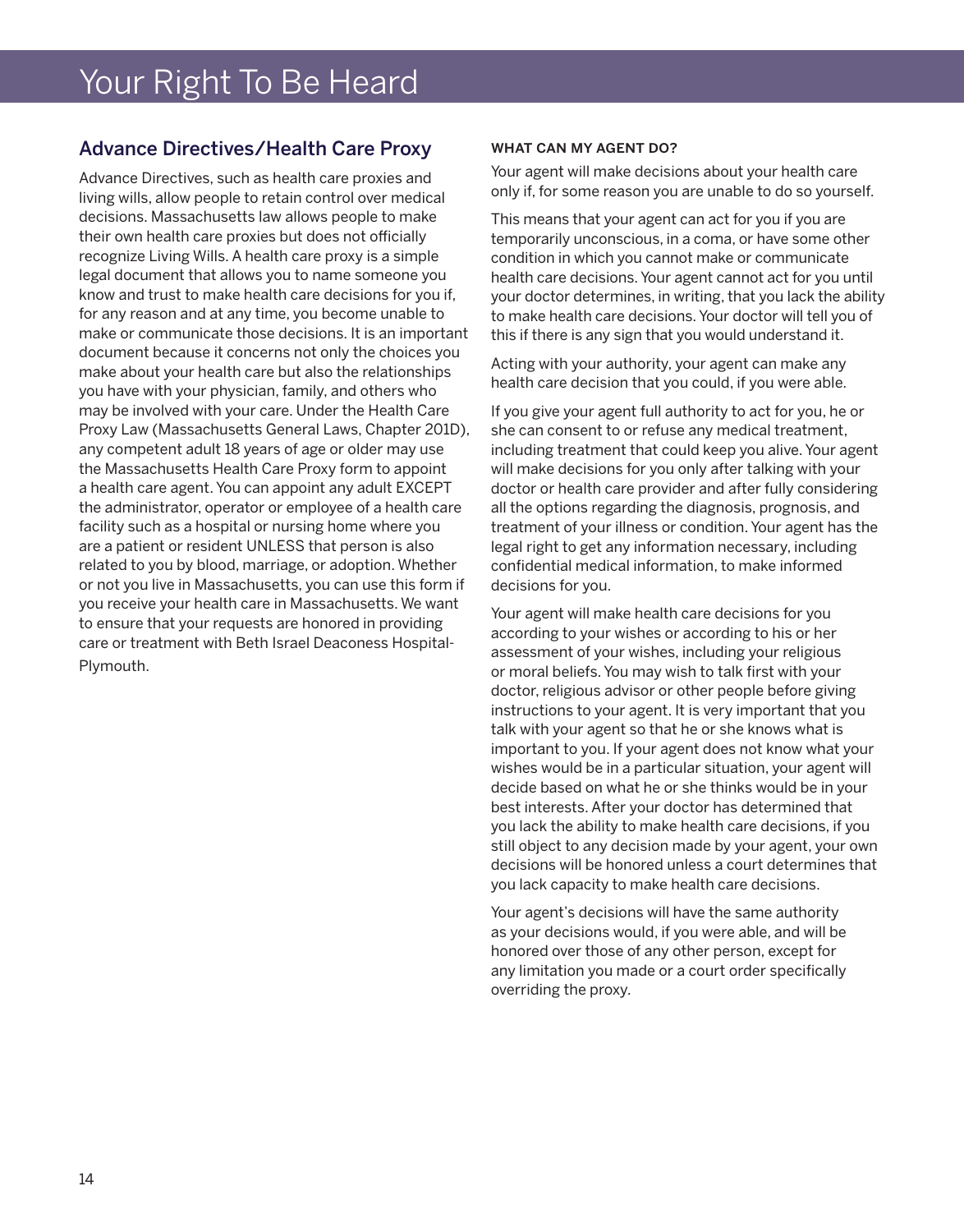# Your Right To Be Heard

# Advance Directives/Health Care Proxy

Advance Directives, such as health care proxies and living wills, allow people to retain control over medical decisions. Massachusetts law allows people to make their own health care proxies but does not officially recognize Living Wills. A health care proxy is a simple legal document that allows you to name someone you know and trust to make health care decisions for you if, for any reason and at any time, you become unable to make or communicate those decisions. It is an important document because it concerns not only the choices you make about your health care but also the relationships you have with your physician, family, and others who may be involved with your care. Under the Health Care Proxy Law (Massachusetts General Laws, Chapter 201D), any competent adult 18 years of age or older may use the Massachusetts Health Care Proxy form to appoint a health care agent. You can appoint any adult EXCEPT the administrator, operator or employee of a health care facility such as a hospital or nursing home where you are a patient or resident UNLESS that person is also related to you by blood, marriage, or adoption. Whether or not you live in Massachusetts, you can use this form if you receive your health care in Massachusetts. We want to ensure that your requests are honored in providing care or treatment with Beth Israel Deaconess Hospital-Plymouth.

#### WHAT CAN MY AGENT DO?

Your agent will make decisions about your health care only if, for some reason you are unable to do so yourself.

This means that your agent can act for you if you are temporarily unconscious, in a coma, or have some other condition in which you cannot make or communicate health care decisions. Your agent cannot act for you until your doctor determines, in writing, that you lack the ability to make health care decisions. Your doctor will tell you of this if there is any sign that you would understand it.

Acting with your authority, your agent can make any health care decision that you could, if you were able.

If you give your agent full authority to act for you, he or she can consent to or refuse any medical treatment, including treatment that could keep you alive. Your agent will make decisions for you only after talking with your doctor or health care provider and after fully considering all the options regarding the diagnosis, prognosis, and treatment of your illness or condition. Your agent has the legal right to get any information necessary, including confidential medical information, to make informed decisions for you.

Your agent will make health care decisions for you according to your wishes or according to his or her assessment of your wishes, including your religious or moral beliefs. You may wish to talk first with your doctor, religious advisor or other people before giving instructions to your agent. It is very important that you talk with your agent so that he or she knows what is important to you. If your agent does not know what your wishes would be in a particular situation, your agent will decide based on what he or she thinks would be in your best interests. After your doctor has determined that you lack the ability to make health care decisions, if you still object to any decision made by your agent, your own decisions will be honored unless a court determines that you lack capacity to make health care decisions.

Your agent's decisions will have the same authority as your decisions would, if you were able, and will be honored over those of any other person, except for any limitation you made or a court order specifically overriding the proxy.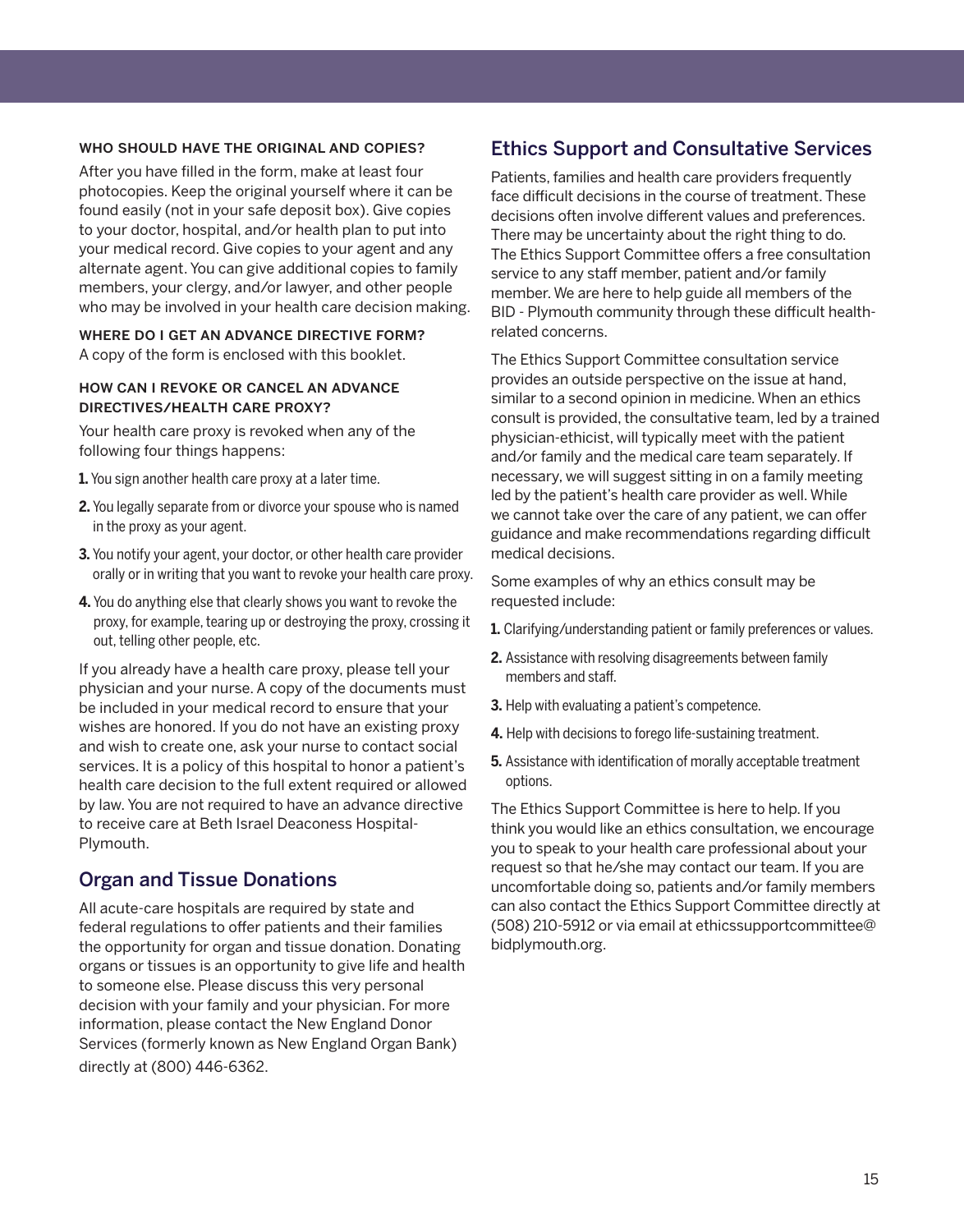#### who should have the original and copies?

After you have filled in the form, make at least four photocopies. Keep the original yourself where it can be found easily (not in your safe deposit box). Give copies to your doctor, hospital, and/or health plan to put into your medical record. Give copies to your agent and any alternate agent. You can give additional copies to family members, your clergy, and/or lawyer, and other people who may be involved in your health care decision making.

WHERE DO I GET AN ADVANCE DIRECTIVE FORM? A copy of the form is enclosed with this booklet.

#### how can i revoke or cancel an advance directives/health care proxy?

Your health care proxy is revoked when any of the following four things happens:

- **1.** You sign another health care proxy at a later time.
- **2.** You legally separate from or divorce your spouse who is named in the proxy as your agent.
- **3.** You notify your agent, your doctor, or other health care provider orally or in writing that you want to revoke your health care proxy.
- **4.** You do anything else that clearly shows you want to revoke the proxy, for example, tearing up or destroying the proxy, crossing it out, telling other people, etc.

If you already have a health care proxy, please tell your physician and your nurse. A copy of the documents must be included in your medical record to ensure that your wishes are honored. If you do not have an existing proxy and wish to create one, ask your nurse to contact social services. It is a policy of this hospital to honor a patient's health care decision to the full extent required or allowed by law. You are not required to have an advance directive to receive care at Beth Israel Deaconess Hospital-Plymouth.

### Organ and Tissue Donations

All acute-care hospitals are required by state and federal regulations to offer patients and their families the opportunity for organ and tissue donation. Donating organs or tissues is an opportunity to give life and health to someone else. Please discuss this very personal decision with your family and your physician. For more information, please contact the New England Donor Services (formerly known as New England Organ Bank) directly at (800) 446-6362.

# Ethics Support and Consultative Services

Patients, families and health care providers frequently face difficult decisions in the course of treatment. These decisions often involve different values and preferences. There may be uncertainty about the right thing to do. The Ethics Support Committee offers a free consultation service to any staff member, patient and/or family member. We are here to help guide all members of the BID - Plymouth community through these difficult healthrelated concerns.

The Ethics Support Committee consultation service provides an outside perspective on the issue at hand, similar to a second opinion in medicine. When an ethics consult is provided, the consultative team, led by a trained physician-ethicist, will typically meet with the patient and/or family and the medical care team separately. If necessary, we will suggest sitting in on a family meeting led by the patient's health care provider as well. While we cannot take over the care of any patient, we can offer guidance and make recommendations regarding difficult medical decisions.

Some examples of why an ethics consult may be requested include:

- **1.** Clarifying/understanding patient or family preferences or values.
- **2.** Assistance with resolving disagreements between family members and staff.
- **3.** Help with evaluating a patient's competence.
- **4.** Help with decisions to forego life-sustaining treatment.
- **5.** Assistance with identification of morally acceptable treatment options.

The Ethics Support Committee is here to help. If you think you would like an ethics consultation, we encourage you to speak to your health care professional about your request so that he/she may contact our team. If you are uncomfortable doing so, patients and/or family members can also contact the Ethics Support Committee directly at (508) 210-5912 or via email at ethicssupportcommittee@ bidplymouth.org.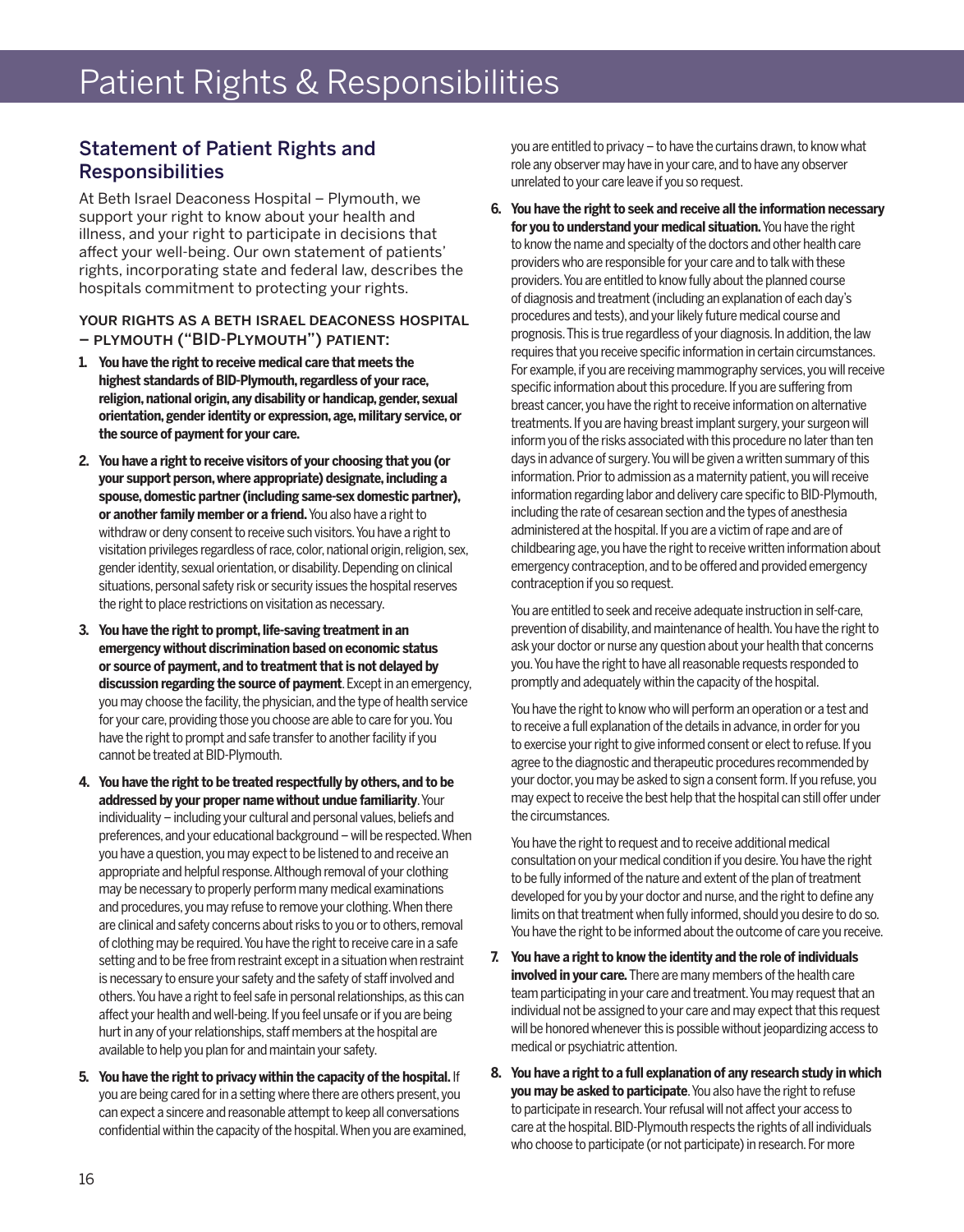# Statement of Patient Rights and Responsibilities

At Beth Israel Deaconess Hospital – Plymouth, we support your right to know about your health and illness, and your right to participate in decisions that affect your well-being. Our own statement of patients' rights, incorporating state and federal law, describes the hospitals commitment to protecting your rights.

#### your rights as a beth israel deaconess hospital – plymouth ("BID-Plymouth") patient:

- **1. You have the right to receive medical care that meets the highest standards of BID-Plymouth, regardless of your race, religion, national origin, any disability or handicap, gender, sexual orientation, gender identity or expression, age, military service, or the source of payment for your care.**
- **2. You have a right to receive visitors of your choosing that you (or your support person, where appropriate) designate, including a spouse, domestic partner (including same-sex domestic partner), or another family member or a friend.** You also have a right to withdraw or deny consent to receive such visitors. You have a right to visitation privileges regardless of race, color, national origin, religion, sex, gender identity, sexual orientation, or disability. Depending on clinical situations, personal safety risk or security issues the hospital reserves the right to place restrictions on visitation as necessary.
- **3. You have the right to prompt, life-saving treatment in an emergency without discrimination based on economic status or source of payment, and to treatment that is not delayed by discussion regarding the source of payment**. Except in an emergency, you may choose the facility, the physician, and the type of health service for your care, providing those you choose are able to care for you. You have the right to prompt and safe transfer to another facility if you cannot be treated at BID-Plymouth.
- **4. You have the right to be treated respectfully by others, and to be addressed by your proper name without undue familiarity**. Your individuality – including your cultural and personal values, beliefs and preferences, and your educational background – will be respected. When you have a question, you may expect to be listened to and receive an appropriate and helpful response. Although removal of your clothing may be necessary to properly perform many medical examinations and procedures, you may refuse to remove your clothing. When there are clinical and safety concerns about risks to you or to others, removal of clothing may be required. You have the right to receive care in a safe setting and to be free from restraint except in a situation when restraint is necessary to ensure your safety and the safety of staff involved and others. You have a right to feel safe in personal relationships, as this can affect your health and well-being. If you feel unsafe or if you are being hurt in any of your relationships, staff members at the hospital are available to help you plan for and maintain your safety.
- **5. You have the right to privacy within the capacity of the hospital.** If you are being cared for in a setting where there are others present, you can expect a sincere and reasonable attempt to keep all conversations confidential within the capacity of the hospital. When you are examined,

you are entitled to privacy – to have the curtains drawn, to know what role any observer may have in your care, and to have any observer unrelated to your care leave if you so request.

**6. You have the right to seek and receive all the information necessary for you to understand your medical situation.** You have the right to know the name and specialty of the doctors and other health care providers who are responsible for your care and to talk with these providers. You are entitled to know fully about the planned course of diagnosis and treatment (including an explanation of each day's procedures and tests), and your likely future medical course and prognosis. This is true regardless of your diagnosis. In addition, the law requires that you receive specific information in certain circumstances. For example, if you are receiving mammography services, you will receive specific information about this procedure. If you are suffering from breast cancer, you have the right to receive information on alternative treatments. If you are having breast implant surgery, your surgeon will inform you of the risks associated with this procedure no later than ten days in advance of surgery. You will be given a written summary of this information. Prior to admission as a maternity patient, you will receive information regarding labor and delivery care specific to BID-Plymouth, including the rate of cesarean section and the types of anesthesia administered at the hospital. If you are a victim of rape and are of childbearing age, you have the right to receive written information about emergency contraception, and to be offered and provided emergency contraception if you so request.

You are entitled to seek and receive adequate instruction in self-care, prevention of disability, and maintenance of health. You have the right to ask your doctor or nurse any question about your health that concerns you. You have the right to have all reasonable requests responded to promptly and adequately within the capacity of the hospital.

You have the right to know who will perform an operation or a test and to receive a full explanation of the details in advance, in order for you to exercise your right to give informed consent or elect to refuse. If you agree to the diagnostic and therapeutic procedures recommended by your doctor, you may be asked to sign a consent form. If you refuse, you may expect to receive the best help that the hospital can still offer under the circumstances.

You have the right to request and to receive additional medical consultation on your medical condition if you desire. You have the right to be fully informed of the nature and extent of the plan of treatment developed for you by your doctor and nurse, and the right to define any limits on that treatment when fully informed, should you desire to do so. You have the right to be informed about the outcome of care you receive.

- **7. You have a right to know the identity and the role of individuals involved in your care.** There are many members of the health care team participating in your care and treatment. You may request that an individual not be assigned to your care and may expect that this request will be honored whenever this is possible without jeopardizing access to medical or psychiatric attention.
- **8. You have a right to a full explanation of any research study in which you may be asked to participate**. You also have the right to refuse to participate in research. Your refusal will not affect your access to care at the hospital. BID-Plymouth respects the rights of all individuals who choose to participate (or not participate) in research. For more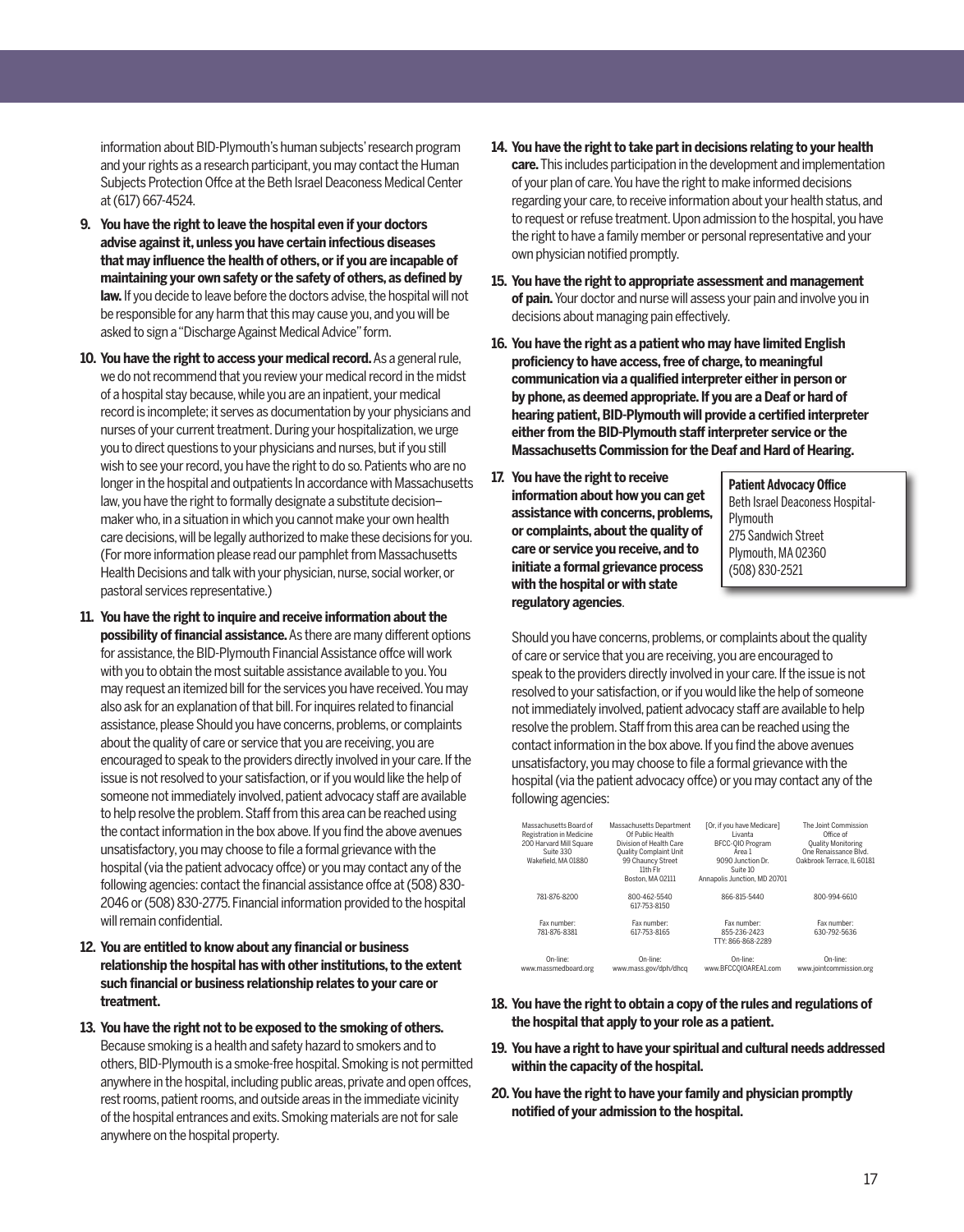information about BID-Plymouth's human subjects' research program and your rights as a research participant, you may contact the Human Subjects Protection Offce at the Beth Israel Deaconess Medical Center at (617) 667-4524.

- **9. You have the right to leave the hospital even if your doctors advise against it, unless you have certain infectious diseases that may influence the health of others, or if you are incapable of maintaining your own safety or the safety of others, as defined by law.** If you decide to leave before the doctors advise, the hospital will not be responsible for any harm that this may cause you, and you will be asked to sign a "Discharge Against Medical Advice" form.
- **10. You have the right to access your medical record.** As a general rule, we do not recommend that you review your medical record in the midst of a hospital stay because, while you are an inpatient, your medical record is incomplete; it serves as documentation by your physicians and nurses of your current treatment. During your hospitalization, we urge you to direct questions to your physicians and nurses, but if you still wish to see your record, you have the right to do so. Patients who are no longer in the hospital and outpatients In accordance with Massachusetts law, you have the right to formally designate a substitute decision– maker who, in a situation in which you cannot make your own health care decisions, will be legally authorized to make these decisions for you. (For more information please read our pamphlet from Massachusetts Health Decisions and talk with your physician, nurse, social worker, or pastoral services representative.)
- **11. You have the right to inquire and receive information about the possibility of financial assistance.** As there are many different options for assistance, the BID-Plymouth Financial Assistance offce will work with you to obtain the most suitable assistance available to you. You may request an itemized bill for the services you have received. You may also ask for an explanation of that bill. For inquires related to financial assistance, please Should you have concerns, problems, or complaints about the quality of care or service that you are receiving, you are encouraged to speak to the providers directly involved in your care. If the issue is not resolved to your satisfaction, or if you would like the help of someone not immediately involved, patient advocacy staff are available to help resolve the problem. Staff from this area can be reached using the contact information in the box above. If you find the above avenues unsatisfactory, you may choose to file a formal grievance with the hospital (via the patient advocacy offce) or you may contact any of the following agencies: contact the financial assistance offce at (508) 830- 2046 or (508) 830-2775. Financial information provided to the hospital will remain confidential.
- **12. You are entitled to know about any financial or business relationship the hospital has with other institutions, to the extent such financial or business relationship relates to your care or treatment.**
- **13. You have the right not to be exposed to the smoking of others.** Because smoking is a health and safety hazard to smokers and to others, BID-Plymouth is a smoke-free hospital. Smoking is not permitted anywhere in the hospital, including public areas, private and open offces, rest rooms, patient rooms, and outside areas in the immediate vicinity of the hospital entrances and exits. Smoking materials are not for sale anywhere on the hospital property.
- **14. You have the right to take part in decisions relating to your health care.** This includes participation in the development and implementation of your plan of care. You have the right to make informed decisions regarding your care, to receive information about your health status, and to request or refuse treatment. Upon admission to the hospital, you have the right to have a family member or personal representative and your own physician notified promptly.
- **15. You have the right to appropriate assessment and management of pain.** Your doctor and nurse will assess your pain and involve you in decisions about managing pain effectively.
- **16. You have the right as a patient who may have limited English proficiency to have access, free of charge, to meaningful communication via a qualified interpreter either in person or by phone, as deemed appropriate. If you are a Deaf or hard of hearing patient, BID-Plymouth will provide a certified interpreter either from the BID-Plymouth staff interpreter service or the Massachusetts Commission for the Deaf and Hard of Hearing.**
- **17. You have the right to receive information about how you can get assistance with concerns, problems, or complaints, about the quality of care or service you receive, and to initiate a formal grievance process with the hospital or with state regulatory agencies**.

**Patient Advocacy Office** Beth Israel Deaconess Hospital-Plymouth 275 Sandwich Street Plymouth, MA 02360 (508) 830-2521

Should you have concerns, problems, or complaints about the quality of care or service that you are receiving, you are encouraged to speak to the providers directly involved in your care. If the issue is not resolved to your satisfaction, or if you would like the help of someone not immediately involved, patient advocacy staff are available to help resolve the problem. Staff from this area can be reached using the contact information in the box above. If you find the above avenues unsatisfactory, you may choose to file a formal grievance with the hospital (via the patient advocacy offce) or you may contact any of the following agencies:

| Massachusetts Board of<br>Registration in Medicine<br>200 Harvard Mill Square<br>Suite 330<br>Wakefield, MA 01880 | Massachusetts Department<br>Of Public Health<br>Division of Health Care<br>Quality Complaint Unit<br>99 Chauncy Street<br>11th Fir<br>Boston, MA 02111 | [Or, if you have Medicare]<br>I ivanta<br>BFCC-010 Program<br>Area 1<br>9090 Junction Dr.<br>Suite 10<br>Annapolis Junction, MD 20701 | The Joint Commission<br>Office of<br><b>Quality Monitoring</b><br>One Renaissance Blvd.<br>Oakbrook Terrace, IL 60181 |
|-------------------------------------------------------------------------------------------------------------------|--------------------------------------------------------------------------------------------------------------------------------------------------------|---------------------------------------------------------------------------------------------------------------------------------------|-----------------------------------------------------------------------------------------------------------------------|
| 781-876-8200                                                                                                      | 800-462-5540<br>617-753-8150                                                                                                                           | 866-815-5440                                                                                                                          | 800-994-6610                                                                                                          |
| Fax number:<br>781-876-8381                                                                                       | Fax number:<br>617-753-8165                                                                                                                            | Fax number:<br>855-236-2423<br>TTY: 866-868-2289                                                                                      | Fax number:<br>630-792-5636                                                                                           |
| On-line:<br>www.massmedboard.org                                                                                  | On-line:<br>www.mass.gov/dph/dhcq                                                                                                                      | On-line:<br>www.BFCCOIOAREA1.com                                                                                                      | On-line:<br>www.iointcommission.org                                                                                   |

- **18. You have the right to obtain a copy of the rules and regulations of the hospital that apply to your role as a patient.**
- **19. You have a right to have your spiritual and cultural needs addressed within the capacity of the hospital.**
- **20. You have the right to have your family and physician promptly notified of your admission to the hospital.**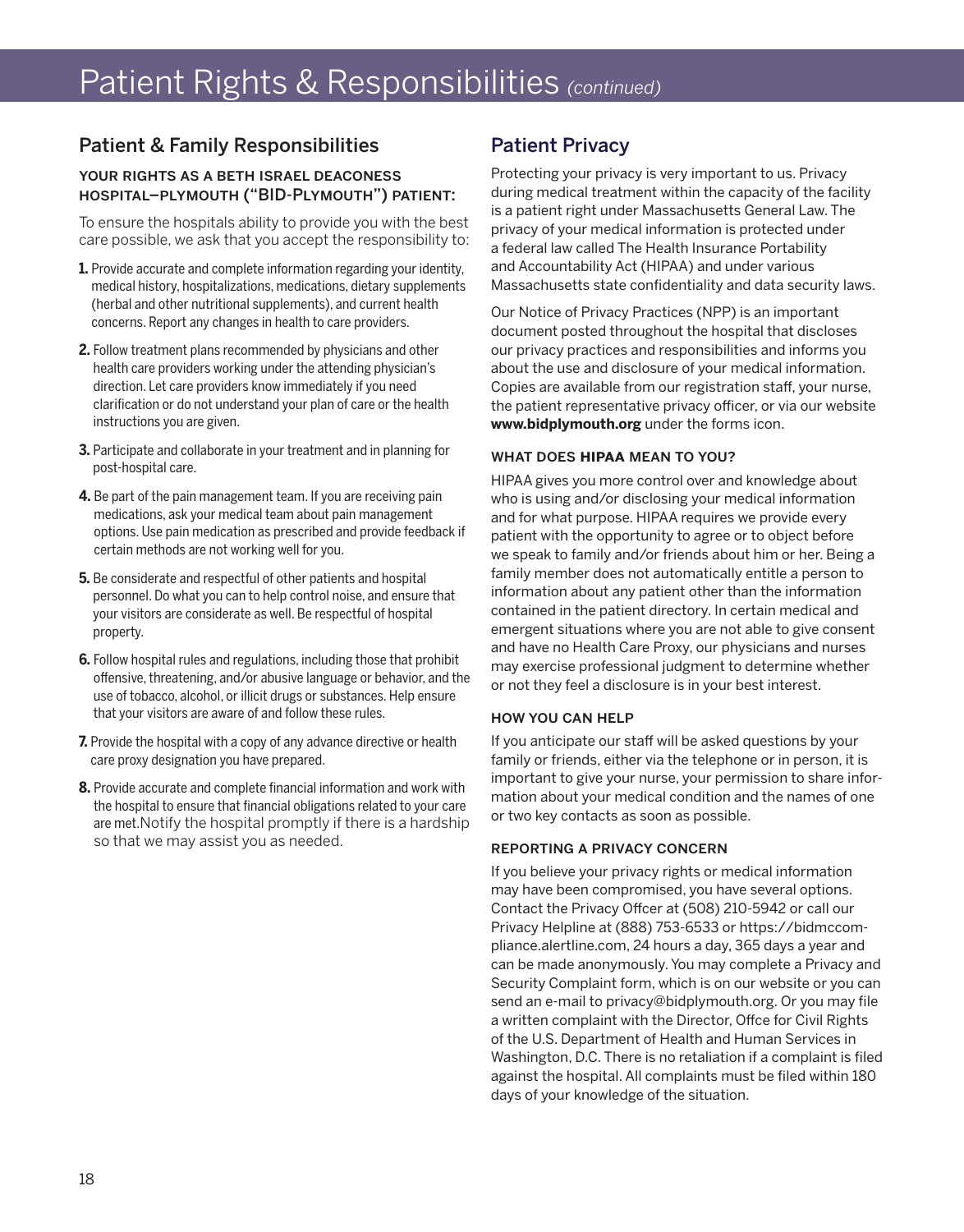# Patient Rights & Responsibilities *(continued)*

# Patient & Family Responsibilities

#### your rights as a beth israel deaconess hospital–plymouth ("BID-Plymouth") patient:

To ensure the hospitals ability to provide you with the best care possible, we ask that you accept the responsibility to:

- **1.** Provide accurate and complete information regarding your identity, medical history, hospitalizations, medications, dietary supplements (herbal and other nutritional supplements), and current health concerns. Report any changes in health to care providers.
- **2.** Follow treatment plans recommended by physicians and other health care providers working under the attending physician's direction. Let care providers know immediately if you need clarification or do not understand your plan of care or the health instructions you are given.
- **3.** Participate and collaborate in your treatment and in planning for post-hospital care.
- **4.** Be part of the pain management team. If you are receiving pain medications, ask your medical team about pain management options. Use pain medication as prescribed and provide feedback if certain methods are not working well for you.
- **5.** Be considerate and respectful of other patients and hospital personnel. Do what you can to help control noise, and ensure that your visitors are considerate as well. Be respectful of hospital property.
- **6.** Follow hospital rules and regulations, including those that prohibit offensive, threatening, and/or abusive language or behavior, and the use of tobacco, alcohol, or illicit drugs or substances. Help ensure that your visitors are aware of and follow these rules.
- **7.** Provide the hospital with a copy of any advance directive or health care proxy designation you have prepared.
- **8.** Provide accurate and complete financial information and work with the hospital to ensure that financial obligations related to your care are met.Notify the hospital promptly if there is a hardship so that we may assist you as needed.

# Patient Privacy

Protecting your privacy is very important to us. Privacy during medical treatment within the capacity of the facility is a patient right under Massachusetts General Law. The privacy of your medical information is protected under a federal law called The Health Insurance Portability and Accountability Act (HIPAA) and under various Massachusetts state confidentiality and data security laws.

Our Notice of Privacy Practices (NPP) is an important document posted throughout the hospital that discloses our privacy practices and responsibilities and informs you about the use and disclosure of your medical information. Copies are available from our registration staff, your nurse, the patient representative privacy officer, or via our website **www.bidplymouth.org** under the forms icon.

#### what does **hipaa** mean to you?

HIPAA gives you more control over and knowledge about who is using and/or disclosing your medical information and for what purpose. HIPAA requires we provide every patient with the opportunity to agree or to object before we speak to family and/or friends about him or her. Being a family member does not automatically entitle a person to information about any patient other than the information contained in the patient directory. In certain medical and emergent situations where you are not able to give consent and have no Health Care Proxy, our physicians and nurses may exercise professional judgment to determine whether or not they feel a disclosure is in your best interest.

#### how you can help

If you anticipate our staff will be asked questions by your family or friends, either via the telephone or in person, it is important to give your nurse, your permission to share information about your medical condition and the names of one or two key contacts as soon as possible.

#### reporting a privacy concern

If you believe your privacy rights or medical information may have been compromised, you have several options. Contact the Privacy Offcer at (508) 210-5942 or call our Privacy Helpline at (888) 753-6533 or https://bidmccompliance.alertline.com, 24 hours a day, 365 days a year and can be made anonymously. You may complete a Privacy and Security Complaint form, which is on our website or you can send an e-mail to privacy@bidplymouth.org. Or you may file a written complaint with the Director, Offce for Civil Rights of the U.S. Department of Health and Human Services in Washington, D.C. There is no retaliation if a complaint is filed against the hospital. All complaints must be filed within 180 days of your knowledge of the situation.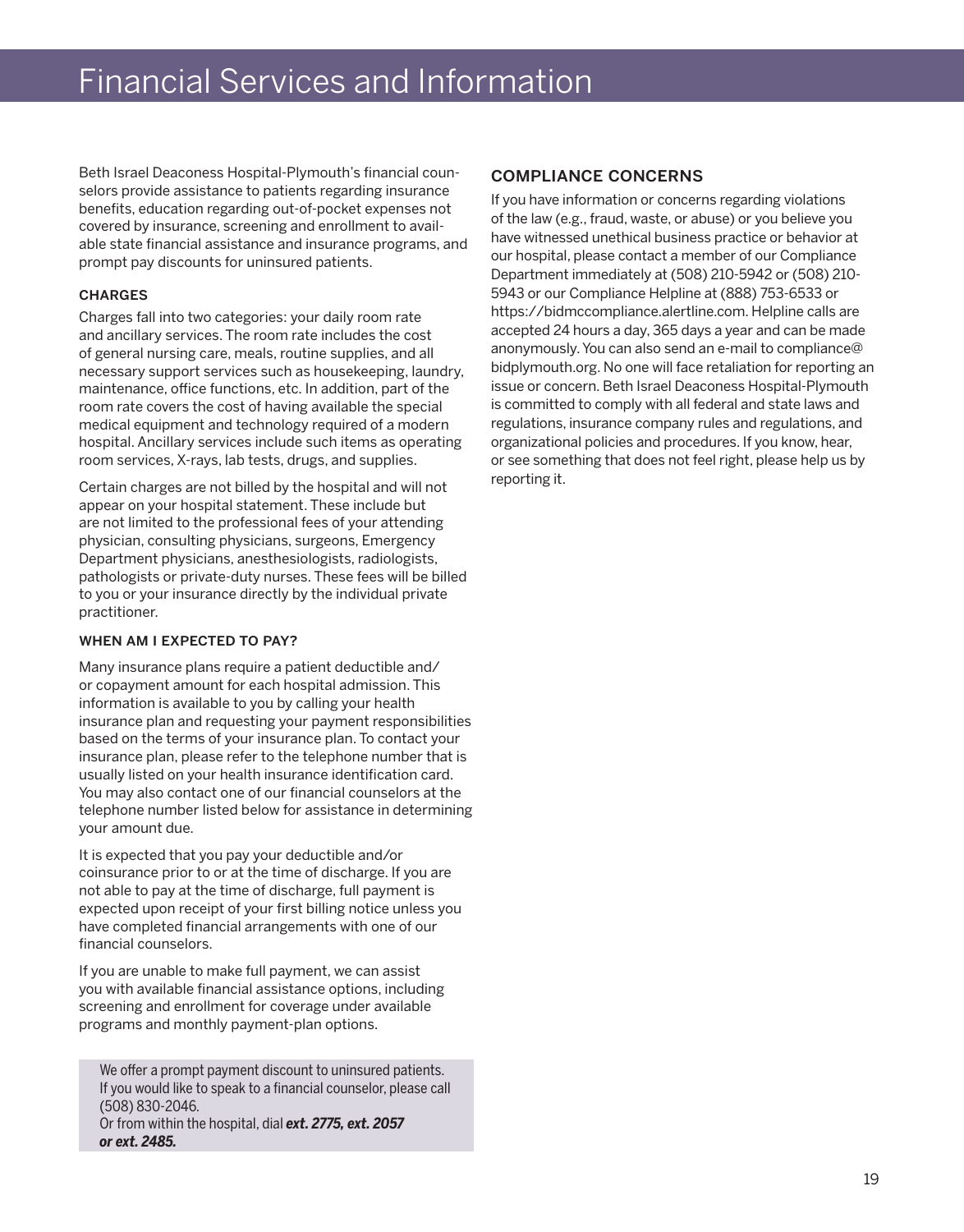# Financial Services and Information

Beth Israel Deaconess Hospital-Plymouth's financial counselors provide assistance to patients regarding insurance benefits, education regarding out-of-pocket expenses not covered by insurance, screening and enrollment to available state financial assistance and insurance programs, and prompt pay discounts for uninsured patients.

#### **CHARGES**

Charges fall into two categories: your daily room rate and ancillary services. The room rate includes the cost of general nursing care, meals, routine supplies, and all necessary support services such as housekeeping, laundry, maintenance, office functions, etc. In addition, part of the room rate covers the cost of having available the special medical equipment and technology required of a modern hospital. Ancillary services include such items as operating room services, X-rays, lab tests, drugs, and supplies.

Certain charges are not billed by the hospital and will not appear on your hospital statement. These include but are not limited to the professional fees of your attending physician, consulting physicians, surgeons, Emergency Department physicians, anesthesiologists, radiologists, pathologists or private-duty nurses. These fees will be billed to you or your insurance directly by the individual private practitioner.

#### WHEN AM I EXPECTED TO PAY?

Many insurance plans require a patient deductible and/ or copayment amount for each hospital admission. This information is available to you by calling your health insurance plan and requesting your payment responsibilities based on the terms of your insurance plan. To contact your insurance plan, please refer to the telephone number that is usually listed on your health insurance identification card. You may also contact one of our financial counselors at the telephone number listed below for assistance in determining your amount due.

It is expected that you pay your deductible and/or coinsurance prior to or at the time of discharge. If you are not able to pay at the time of discharge, full payment is expected upon receipt of your first billing notice unless you have completed financial arrangements with one of our financial counselors.

If you are unable to make full payment, we can assist you with available financial assistance options, including screening and enrollment for coverage under available programs and monthly payment-plan options.

We offer a prompt payment discount to uninsured patients. If you would like to speak to a financial counselor, please call (508) 830-2046. Or from within the hospital, dial *ext. 2775, ext. 2057 or ext. 2485.*

#### compliance concerns

If you have information or concerns regarding violations of the law (e.g., fraud, waste, or abuse) or you believe you have witnessed unethical business practice or behavior at our hospital, please contact a member of our Compliance Department immediately at (508) 210-5942 or (508) 210- 5943 or our Compliance Helpline at (888) 753-6533 or https://bidmccompliance.alertline.com. Helpline calls are accepted 24 hours a day, 365 days a year and can be made anonymously. You can also send an e-mail to compliance@ bidplymouth.org. No one will face retaliation for reporting an issue or concern. Beth Israel Deaconess Hospital-Plymouth is committed to comply with all federal and state laws and regulations, insurance company rules and regulations, and organizational policies and procedures. If you know, hear, or see something that does not feel right, please help us by reporting it.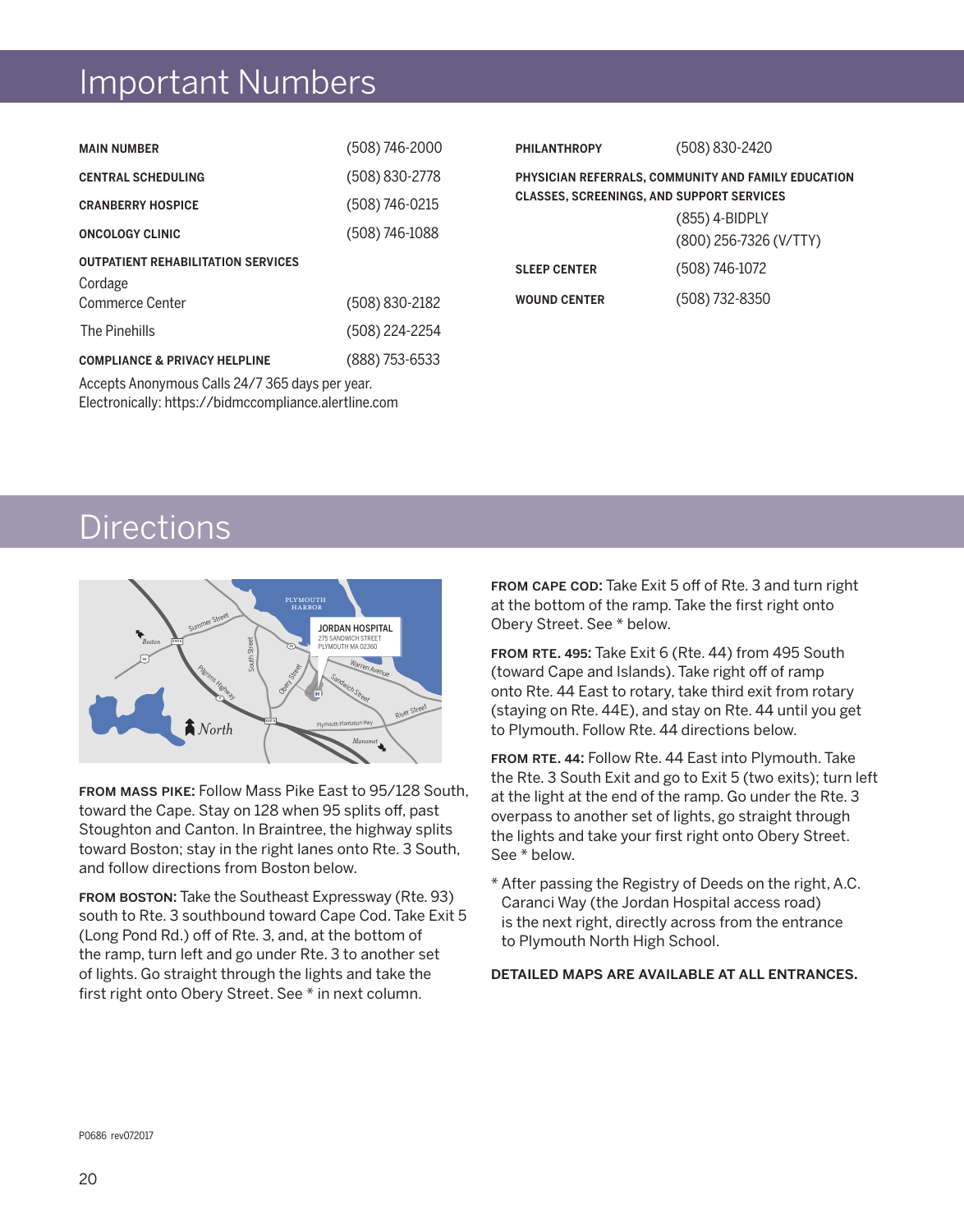# Important Numbers

| <b>MAIN NUMBER</b>                                   | (508) 746-2000 | <b>PHILANTHROPY</b>                                                                                                                                 | (508) 830-2420 |
|------------------------------------------------------|----------------|-----------------------------------------------------------------------------------------------------------------------------------------------------|----------------|
| <b>CENTRAL SCHEDULING</b>                            | (508) 830-2778 | PHYSICIAN REFERRALS, COMMUNITY AND FAMILY EDUCATION<br><b>CLASSES, SCREENINGS, AND SUPPORT SERVICES</b><br>(855) 4-BIDPLY<br>(800) 256-7326 (V/TTY) |                |
| <b>CRANBERRY HOSPICE</b>                             | (508) 746-0215 |                                                                                                                                                     |                |
| <b>ONCOLOGY CLINIC</b>                               | (508) 746-1088 |                                                                                                                                                     |                |
| <b>OUTPATIENT REHABILITATION SERVICES</b><br>Cordage |                | <b>SLEEP CENTER</b>                                                                                                                                 | (508) 746-1072 |
| Commerce Center                                      | (508) 830-2182 | <b>WOUND CENTER</b>                                                                                                                                 | (508) 732-8350 |
| The Pinehills                                        | (508) 224-2254 |                                                                                                                                                     |                |
| <b>COMPLIANCE &amp; PRIVACY HELPLINE</b>             | (888) 753-6533 |                                                                                                                                                     |                |

Accepts Anonymous Calls 24/7 365 days per year. Electronically: https://bidmccompliance.alertline.com

# **Directions**



from mass pike: Follow Mass Pike East to 95/128 South, toward the Cape. Stay on 128 when 95 splits off, past Stoughton and Canton. In Braintree, the highway splits toward Boston; stay in the right lanes onto Rte. 3 South, and follow directions from Boston below.

from boston: Take the Southeast Expressway (Rte. 93) south to Rte. 3 southbound toward Cape Cod. Take Exit 5 (Long Pond Rd.) off of Rte. 3, and, at the bottom of the ramp, turn left and go under Rte. 3 to another set of lights. Go straight through the lights and take the first right onto Obery Street. See \* in next column.

FROM CAPE COD: Take Exit 5 off of Rte. 3 and turn right at the bottom of the ramp. Take the first right onto Obery Street. See \* below.

FROM RTE. 495: Take Exit 6 (Rte. 44) from 495 South (toward Cape and Islands). Take right off of ramp onto Rte. 44 East to rotary, take third exit from rotary (staying on Rte. 44E), and stay on Rte. 44 until you get to Plymouth. Follow Rte. 44 directions below.

FROM RTE. 44: Follow Rte. 44 East into Plymouth. Take the Rte. 3 South Exit and go to Exit 5 (two exits); turn left at the light at the end of the ramp. Go under the Rte. 3 overpass to another set of lights, go straight through the lights and take your first right onto Obery Street. See \* below.

\* After passing the Registry of Deeds on the right, A.C. Caranci Way (the Jordan Hospital access road) is the next right, directly across from the entrance to Plymouth North High School.

#### detailed maps are available at all entrances.

P0686 rev072017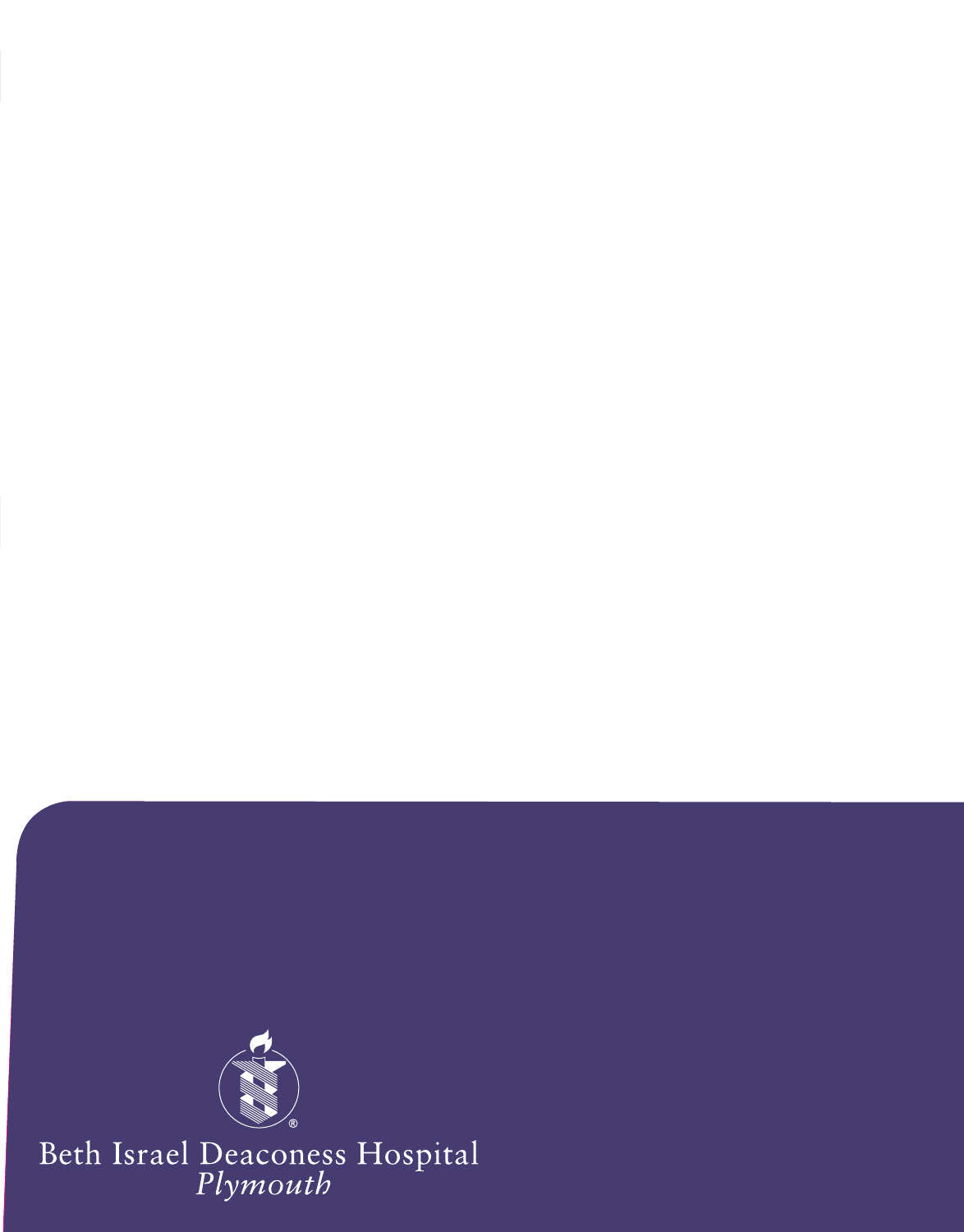

Beth Israel Deaconess Hospital<br>Plymouth